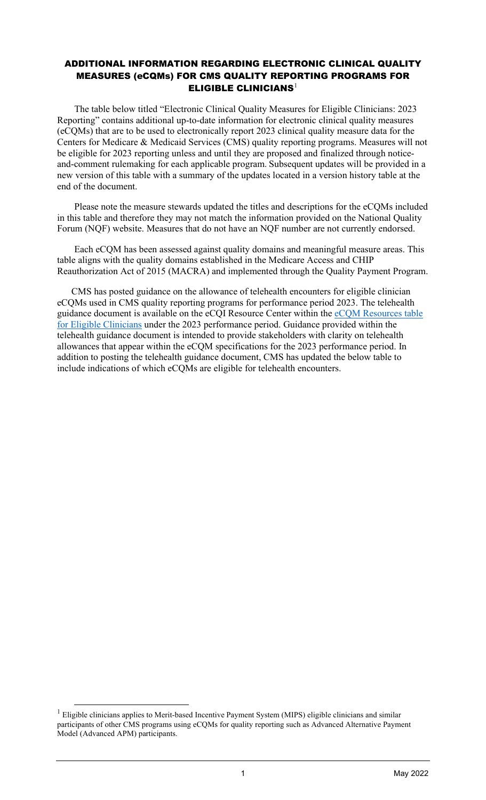## ADDITIONAL INFORMATION REGARDING ELECTRONIC CLINICAL QUALITY MEASURES (eCQMs) FOR CMS QUALITY REPORTING PROGRAMS FOR ELIGIBLE CLINICIANS<sup>[1](#page-0-0)</sup>

The table below titled "Electronic Clinical Quality Measures for Eligible Clinicians: 2023 Reporting" contains additional up-to-date information for electronic clinical quality measures (eCQMs) that are to be used to electronically report 2023 clinical quality measure data for the Centers for Medicare & Medicaid Services (CMS) quality reporting programs. Measures will not be eligible for 2023 reporting unless and until they are proposed and finalized through noticeand-comment rulemaking for each applicable program. Subsequent updates will be provided in a new version of this table with a summary of the updates located in a version history table at the end of the document.

Please note the measure stewards updated the titles and descriptions for the eCQMs included in this table and therefore they may not match the information provided on the National Quality Forum (NQF) website. Measures that do not have an NQF number are not currently endorsed.

Each eCQM has been assessed against quality domains and meaningful measure areas. This table aligns with the quality domains established in the Medicare Access and CHIP Reauthorization Act of 2015 (MACRA) and implemented through the Quality Payment Program.

CMS has posted guidance on the allowance of telehealth encounters for eligible clinician eCQMs used in CMS quality reporting programs for performance period 2023. The telehealth guidance document is available on the eCQI Resource Center within the [eCQM Resources table](https://ecqi.healthit.gov/ep-ec?qt-tabs_ep=0&globalyearfilter=2023)  [for Eligible Clinicians](https://ecqi.healthit.gov/ep-ec?qt-tabs_ep=0&globalyearfilter=2023) under the 2023 performance period. Guidance provided within the telehealth guidance document is intended to provide stakeholders with clarity on telehealth allowances that appear within the eCQM specifications for the 2023 performance period. In addition to posting the telehealth guidance document, CMS has updated the below table to include indications of which eCQMs are eligible for telehealth encounters.

<span id="page-0-0"></span><sup>&</sup>lt;sup>1</sup> Eligible clinicians applies to Merit-based Incentive Payment System (MIPS) eligible clinicians and similar participants of other CMS programs using eCQMs for quality reporting such as Advanced Alternative Payment Model (Advanced APM) participants.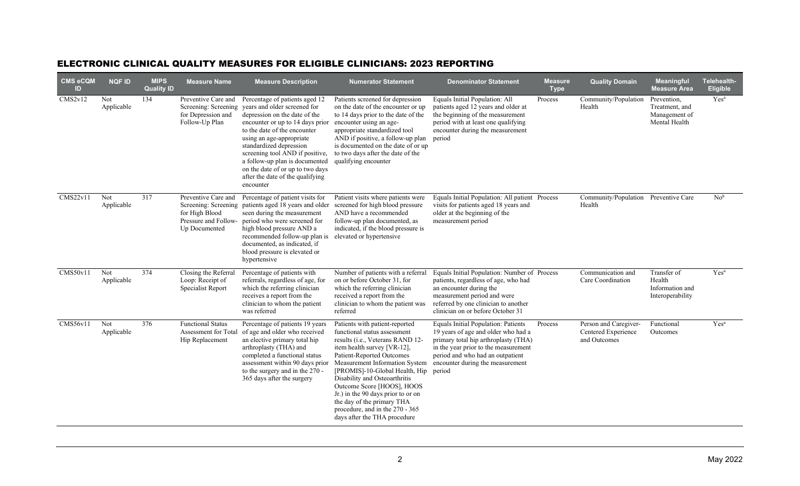## ELECTRONIC CLINICAL QUALITY MEASURES FOR ELIGIBLE CLINICIANS: 2023 REPORTING

| <b>CMS eCQM</b><br>ID | <b>NQF ID</b>     | <b>MIPS</b><br><b>Quality ID</b> | <b>Measure Name</b>                                                                                    | <b>Measure Description</b>                                                                                                                                                                                                                                                                                                                                                           | <b>Numerator Statement</b>                                                                                                                                                                                                                                                                                                                                                                                                               | <b>Denominator Statement</b>                                                                                                                                                                                                                 | <b>Measure</b><br><b>Type</b> | <b>Quality Domain</b>                                        | Meaningful<br><b>Measure Area</b>                               | Telehealth-<br><b>Eligible</b> |
|-----------------------|-------------------|----------------------------------|--------------------------------------------------------------------------------------------------------|--------------------------------------------------------------------------------------------------------------------------------------------------------------------------------------------------------------------------------------------------------------------------------------------------------------------------------------------------------------------------------------|------------------------------------------------------------------------------------------------------------------------------------------------------------------------------------------------------------------------------------------------------------------------------------------------------------------------------------------------------------------------------------------------------------------------------------------|----------------------------------------------------------------------------------------------------------------------------------------------------------------------------------------------------------------------------------------------|-------------------------------|--------------------------------------------------------------|-----------------------------------------------------------------|--------------------------------|
| CMS2v12               | Not<br>Applicable | 134                              | Preventive Care and<br>Screening: Screening<br>for Depression and<br>Follow-Up Plan                    | Percentage of patients aged 12<br>years and older screened for<br>depression on the date of the<br>encounter or up to 14 days prior<br>to the date of the encounter<br>using an age-appropriate<br>standardized depression<br>screening tool AND if positive,<br>a follow-up plan is documented<br>on the date of or up to two days<br>after the date of the qualifying<br>encounter | Patients screened for depression<br>on the date of the encounter or up<br>to 14 days prior to the date of the<br>encounter using an age-<br>appropriate standardized tool<br>AND if positive, a follow-up plan<br>is documented on the date of or up<br>to two days after the date of the<br>qualifying encounter                                                                                                                        | Equals Initial Population: All<br>patients aged 12 years and older at<br>the beginning of the measurement<br>period with at least one qualifying<br>encounter during the measurement<br>period                                               | Process                       | Community/Population<br>Health                               | Prevention,<br>Treatment, and<br>Management of<br>Mental Health | Yes <sup>a</sup>               |
| CMS22v11              | Not<br>Applicable | 317                              | Preventive Care and<br>Screening: Screening<br>for High Blood<br>Pressure and Follow-<br>Up Documented | Percentage of patient visits for<br>patients aged 18 years and older<br>seen during the measurement<br>period who were screened for<br>high blood pressure AND a<br>recommended follow-up plan is<br>documented, as indicated, if<br>blood pressure is elevated or<br>hypertensive                                                                                                   | Patient visits where patients were<br>screened for high blood pressure<br>AND have a recommended<br>follow-up plan documented, as<br>indicated, if the blood pressure is<br>elevated or hypertensive                                                                                                                                                                                                                                     | Equals Initial Population: All patient Process<br>visits for patients aged 18 years and<br>older at the beginning of the<br>measurement period                                                                                               |                               | Community/Population Preventive Care<br>Health               |                                                                 | No <sup>b</sup>                |
| CMS50v11              | Not<br>Applicable | 374                              | Closing the Referral<br>Loop: Receipt of<br>Specialist Report                                          | Percentage of patients with<br>referrals, regardless of age, for<br>which the referring clinician<br>receives a report from the<br>clinician to whom the patient<br>was referred                                                                                                                                                                                                     | Number of patients with a referral<br>on or before October 31, for<br>which the referring clinician<br>received a report from the<br>clinician to whom the patient was<br>referred                                                                                                                                                                                                                                                       | Equals Initial Population: Number of Process<br>patients, regardless of age, who had<br>an encounter during the<br>measurement period and were<br>referred by one clinician to another<br>clinician on or before October 31                  |                               | Communication and<br>Care Coordination                       | Transfer of<br>Health<br>Information and<br>Interoperability    | Yes <sup>a</sup>               |
| CMS56v11              | Not<br>Applicable | 376                              | <b>Functional Status</b><br>Assessment for Total<br>Hip Replacement                                    | Percentage of patients 19 years<br>of age and older who received<br>an elective primary total hip<br>arthroplasty (THA) and<br>completed a functional status<br>assessment within 90 days prior<br>to the surgery and in the 270 -<br>365 days after the surgery                                                                                                                     | Patients with patient-reported<br>functional status assessment<br>results (i.e., Veterans RAND 12-<br>item health survey [VR-12],<br>Patient-Reported Outcomes<br>Measurement Information System<br>[PROMIS]-10-Global Health, Hip<br>Disability and Osteoarthritis<br>Outcome Score [HOOS], HOOS<br>Jr.) in the 90 days prior to or on<br>the day of the primary THA<br>procedure, and in the 270 - 365<br>days after the THA procedure | Equals Initial Population: Patients<br>19 years of age and older who had a<br>primary total hip arthroplasty (THA)<br>in the year prior to the measurement<br>period and who had an outpatient<br>encounter during the measurement<br>period | Process                       | Person and Caregiver-<br>Centered Experience<br>and Outcomes | Functional<br>Outcomes                                          | Yes <sup>a</sup>               |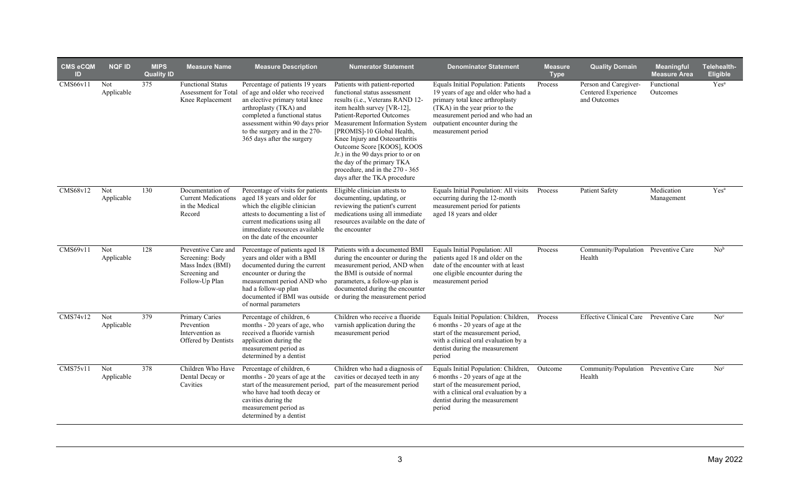| <b>CMS eCQM</b><br>ID | <b>NQF ID</b>     | <b>MIPS</b><br><b>Quality ID</b> | <b>Measure Name</b>                                                                           | <b>Measure Description</b>                                                                                                                                                                                                                                       | <b>Numerator Statement</b>                                                                                                                                                                                                                                                                                                                                                                                                                                                     | <b>Denominator Statement</b>                                                                                                                                                                               | <b>Measure</b><br><b>Type</b> | <b>Quality Domain</b>                                        | <b>Meaningful</b><br><b>Measure Area</b> | Telehealth-<br>Eligible |
|-----------------------|-------------------|----------------------------------|-----------------------------------------------------------------------------------------------|------------------------------------------------------------------------------------------------------------------------------------------------------------------------------------------------------------------------------------------------------------------|--------------------------------------------------------------------------------------------------------------------------------------------------------------------------------------------------------------------------------------------------------------------------------------------------------------------------------------------------------------------------------------------------------------------------------------------------------------------------------|------------------------------------------------------------------------------------------------------------------------------------------------------------------------------------------------------------|-------------------------------|--------------------------------------------------------------|------------------------------------------|-------------------------|
| CMS66v11              | Not<br>Applicable | 375                              | <b>Functional Status</b><br>Assessment for Total<br>Knee Replacement                          | Percentage of patients 19 years<br>of age and older who received<br>an elective primary total knee<br>arthroplasty (TKA) and<br>completed a functional status<br>assessment within 90 days prior<br>to the surgery and in the 270-<br>365 days after the surgery | Patients with patient-reported<br>functional status assessment<br>results ( <i>i.e.</i> , Veterans RAND 12-<br>item health survey [VR-12],<br>Patient-Reported Outcomes<br>Measurement Information System outpatient encounter during the<br>[PROMIS]-10 Global Health,<br>Knee Injury and Osteoarthritis<br>Outcome Score [KOOS], KOOS<br>Jr.) in the 90 days prior to or on<br>the day of the primary TKA<br>procedure, and in the 270 - 365<br>days after the TKA procedure | Equals Initial Population: Patients<br>19 years of age and older who had a<br>primary total knee arthroplasty<br>(TKA) in the year prior to the<br>measurement period and who had an<br>measurement period | Process                       | Person and Caregiver-<br>Centered Experience<br>and Outcomes | Functional<br>Outcomes                   | Yes <sup>a</sup>        |
| CMS68v12              | Not<br>Applicable | 130                              | Documentation of<br><b>Current Medications</b><br>in the Medical<br>Record                    | Percentage of visits for patients<br>aged 18 years and older for<br>which the eligible clinician<br>attests to documenting a list of<br>current medications using all<br>immediate resources available<br>on the date of the encounter                           | Eligible clinician attests to<br>documenting, updating, or<br>reviewing the patient's current<br>medications using all immediate<br>resources available on the date of<br>the encounter                                                                                                                                                                                                                                                                                        | Equals Initial Population: All visits<br>occurring during the 12-month<br>measurement period for patients<br>aged 18 years and older                                                                       | Process                       | Patient Safety                                               | Medication<br>Management                 | Yes <sup>a</sup>        |
| CMS69v11              | Not<br>Applicable | 128                              | Preventive Care and<br>Screening: Body<br>Mass Index (BMI)<br>Screening and<br>Follow-Up Plan | Percentage of patients aged 18<br>years and older with a BMI<br>documented during the current<br>encounter or during the<br>measurement period AND who<br>had a follow-up plan<br>of normal parameters                                                           | Patients with a documented BMI<br>during the encounter or during the<br>measurement period, AND when<br>the BMI is outside of normal<br>parameters, a follow-up plan is<br>documented during the encounter<br>documented if BMI was outside or during the measurement period                                                                                                                                                                                                   | Equals Initial Population: All<br>patients aged 18 and older on the<br>date of the encounter with at least<br>one eligible encounter during the<br>measurement period                                      | Process                       | Community/Population Preventive Care<br>Health               |                                          | No <sup>b</sup>         |
| CMS74v12              | Not<br>Applicable | 379                              | <b>Primary Caries</b><br>Prevention<br>Intervention as<br>Offered by Dentists                 | Percentage of children, 6<br>months - 20 years of age, who<br>received a fluoride varnish<br>application during the<br>measurement period as<br>determined by a dentist                                                                                          | Children who receive a fluoride<br>varnish application during the<br>measurement period                                                                                                                                                                                                                                                                                                                                                                                        | Equals Initial Population: Children,<br>6 months - 20 years of age at the<br>start of the measurement period,<br>with a clinical oral evaluation by a<br>dentist during the measurement<br>period          | Process                       | <b>Effective Clinical Care</b>                               | Preventive Care                          | No <sup>c</sup>         |
| CMS75v11              | Not<br>Applicable | 378                              | Children Who Have<br>Dental Decay or<br>Cavities                                              | Percentage of children, 6<br>months - 20 years of age at the<br>start of the measurement period,<br>who have had tooth decay or<br>cavities during the<br>measurement period as<br>determined by a dentist                                                       | Children who had a diagnosis of<br>cavities or decayed teeth in any<br>part of the measurement period                                                                                                                                                                                                                                                                                                                                                                          | Equals Initial Population: Children,<br>6 months - 20 years of age at the<br>start of the measurement period,<br>with a clinical oral evaluation by a<br>dentist during the measurement<br>period          | Outcome                       | Community/Population Preventive Care<br>Health               |                                          | No <sup>c</sup>         |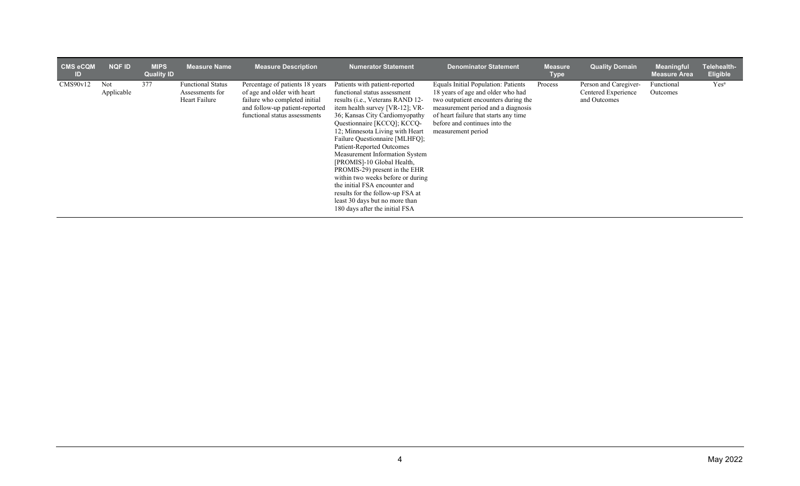| CMS eCQM<br>ID | <b>NQF ID</b>     | <b>MIPS</b><br><b>Quality ID</b> | <b>Measure Name</b>                                          | <b>Measure Description</b>                                                                                                                                         | Numerator Statement                                                                                                                                                                                                                                                                                                                                                                                                                                                                                                                                                                     | <b>Denominator Statement</b>                                                                                                                                                                                                                           | <b>Measure</b><br><b>Type</b> | <b>Quality Domain</b>                                        | <b>Meaningful</b><br><b>Measure Area</b> | Telehealth-<br><b>Eligible</b> |
|----------------|-------------------|----------------------------------|--------------------------------------------------------------|--------------------------------------------------------------------------------------------------------------------------------------------------------------------|-----------------------------------------------------------------------------------------------------------------------------------------------------------------------------------------------------------------------------------------------------------------------------------------------------------------------------------------------------------------------------------------------------------------------------------------------------------------------------------------------------------------------------------------------------------------------------------------|--------------------------------------------------------------------------------------------------------------------------------------------------------------------------------------------------------------------------------------------------------|-------------------------------|--------------------------------------------------------------|------------------------------------------|--------------------------------|
| CMS90v12       | Not<br>Applicable | 377                              | <b>Functional Status</b><br>Assessments for<br>Heart Failure | Percentage of patients 18 years<br>of age and older with heart<br>failure who completed initial<br>and follow-up patient-reported<br>functional status assessments | Patients with patient-reported<br>functional status assessment<br>results (i.e., Veterans RAND 12-<br>item health survey [VR-12]; VR-<br>36; Kansas City Cardiomyopathy<br>Questionnaire [KCCQ]; KCCQ-<br>12; Minnesota Living with Heart<br>Failure Questionnaire [MLHFQ];<br>Patient-Reported Outcomes<br>Measurement Information System<br>[PROMIS]-10 Global Health,<br>PROMIS-29) present in the EHR<br>within two weeks before or during<br>the initial FSA encounter and<br>results for the follow-up FSA at<br>least 30 days but no more than<br>180 days after the initial FSA | Equals Initial Population: Patients<br>18 years of age and older who had<br>two outpatient encounters during the<br>measurement period and a diagnosis<br>of heart failure that starts any time<br>before and continues into the<br>measurement period | Process                       | Person and Caregiver-<br>Centered Experience<br>and Outcomes | Functional<br>Outcomes                   | Yes <sup>a</sup>               |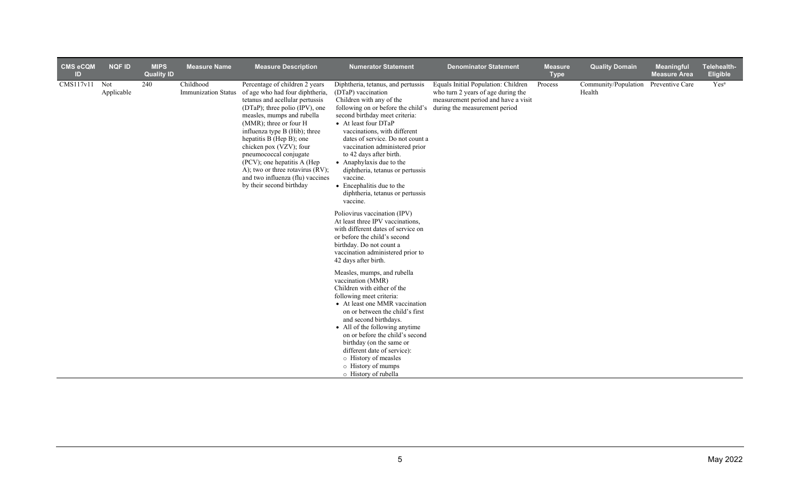| <b>CMS eCQM</b><br>ID | <b>NQF ID</b>     | <b>MIPS</b><br><b>Quality ID</b> | <b>Measure Name</b>                     | <b>Measure Description</b>                                                                                                                                                                                                                                                                                                                                                                                                                          | <b>Numerator Statement</b>                                                                                                                                                                                                                                                                                                                                                                                                                                                                                                                         | <b>Denominator Statement</b>                                                                                                                      | <b>Measure</b><br><b>Type</b> | <b>Quality Domain</b>          | <b>Meaningful</b><br><b>Measure Area</b> | Telehealth-<br>Eligible |
|-----------------------|-------------------|----------------------------------|-----------------------------------------|-----------------------------------------------------------------------------------------------------------------------------------------------------------------------------------------------------------------------------------------------------------------------------------------------------------------------------------------------------------------------------------------------------------------------------------------------------|----------------------------------------------------------------------------------------------------------------------------------------------------------------------------------------------------------------------------------------------------------------------------------------------------------------------------------------------------------------------------------------------------------------------------------------------------------------------------------------------------------------------------------------------------|---------------------------------------------------------------------------------------------------------------------------------------------------|-------------------------------|--------------------------------|------------------------------------------|-------------------------|
| CMS117v11             | Not<br>Applicable | 240                              | Childhood<br><b>Immunization Status</b> | Percentage of children 2 years<br>of age who had four diphtheria,<br>tetanus and acellular pertussis<br>(DTaP); three polio (IPV), one<br>measles, mumps and rubella<br>(MMR); three or four H<br>influenza type B (Hib); three<br>hepatitis B (Hep B); one<br>chicken pox (VZV); four<br>pneumococcal conjugate<br>(PCV); one hepatitis A (Hep<br>A); two or three rotavirus (RV);<br>and two influenza (flu) vaccines<br>by their second birthday | Diphtheria, tetanus, and pertussis<br>(DTaP) vaccination<br>Children with any of the<br>following on or before the child's<br>second birthday meet criteria:<br>• At least four DTaP<br>vaccinations, with different<br>dates of service. Do not count a<br>vaccination administered prior<br>to 42 days after birth.<br>• Anaphylaxis due to the<br>diphtheria, tetanus or pertussis<br>vaccine.<br>• Encephalitis due to the<br>diphtheria, tetanus or pertussis<br>vaccine.<br>Poliovirus vaccination (IPV)<br>At least three IPV vaccinations, | Equals Initial Population: Children<br>who turn 2 years of age during the<br>measurement period and have a visit<br>during the measurement period | Process                       | Community/Population<br>Health | Preventive Care                          | Yes <sup>a</sup>        |
|                       |                   |                                  |                                         |                                                                                                                                                                                                                                                                                                                                                                                                                                                     | with different dates of service on<br>or before the child's second<br>birthday. Do not count a<br>vaccination administered prior to<br>42 days after birth.                                                                                                                                                                                                                                                                                                                                                                                        |                                                                                                                                                   |                               |                                |                                          |                         |
|                       |                   |                                  |                                         |                                                                                                                                                                                                                                                                                                                                                                                                                                                     | Measles, mumps, and rubella<br>vaccination (MMR)<br>Children with either of the<br>following meet criteria:<br>• At least one MMR vaccination<br>on or between the child's first<br>and second birthdays.<br>• All of the following anytime<br>on or before the child's second                                                                                                                                                                                                                                                                     |                                                                                                                                                   |                               |                                |                                          |                         |
|                       |                   |                                  |                                         |                                                                                                                                                                                                                                                                                                                                                                                                                                                     | birthday (on the same or<br>different date of service):<br>o History of measles<br>o History of mumps<br>o History of rubella                                                                                                                                                                                                                                                                                                                                                                                                                      |                                                                                                                                                   |                               |                                |                                          |                         |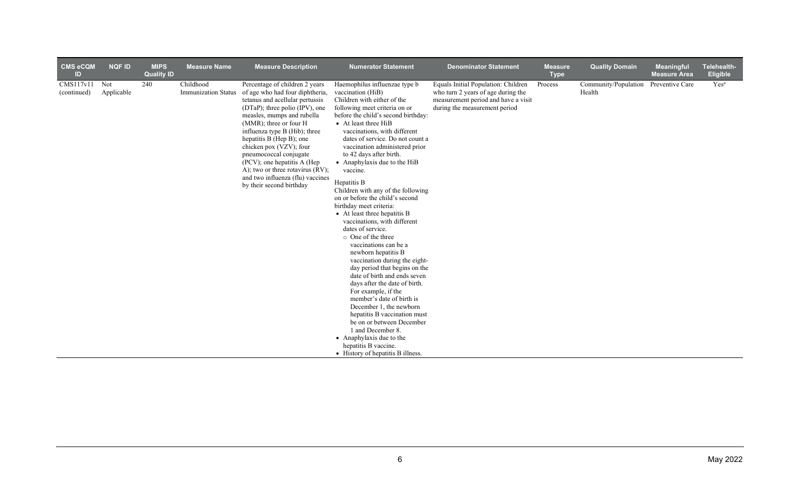| <b>CMS eCQM</b><br>ID    | <b>NQF ID</b>            | <b>MIPS</b><br><b>Quality ID</b> | <b>Measure Name</b>                     | <b>Measure Description</b>                                                                                                                                                                                                                                                                                                                                                                                                                          | <b>Numerator Statement</b>                                                                                                                                                                                                                                                                                                                                                                                                                                                                                                                                                                                                                                                                                                                                                                                                                                                                                                                                                                                                                      | <b>Denominator Statement</b>                                                                                                                      | <b>Measure</b><br><b>Type</b> | <b>Quality Domain</b>          | Meaningful<br><b>Measure Area</b> | Telehealth-<br><b>Eligible</b> |
|--------------------------|--------------------------|----------------------------------|-----------------------------------------|-----------------------------------------------------------------------------------------------------------------------------------------------------------------------------------------------------------------------------------------------------------------------------------------------------------------------------------------------------------------------------------------------------------------------------------------------------|-------------------------------------------------------------------------------------------------------------------------------------------------------------------------------------------------------------------------------------------------------------------------------------------------------------------------------------------------------------------------------------------------------------------------------------------------------------------------------------------------------------------------------------------------------------------------------------------------------------------------------------------------------------------------------------------------------------------------------------------------------------------------------------------------------------------------------------------------------------------------------------------------------------------------------------------------------------------------------------------------------------------------------------------------|---------------------------------------------------------------------------------------------------------------------------------------------------|-------------------------------|--------------------------------|-----------------------------------|--------------------------------|
| CMS117v11<br>(continued) | <b>Not</b><br>Applicable | 240                              | Childhood<br><b>Immunization Status</b> | Percentage of children 2 years<br>of age who had four diphtheria,<br>tetanus and acellular pertussis<br>(DTaP); three polio (IPV), one<br>measles, mumps and rubella<br>(MMR); three or four H<br>influenza type B (Hib); three<br>hepatitis B (Hep B); one<br>chicken pox (VZV); four<br>pneumococcal conjugate<br>(PCV); one hepatitis A (Hep<br>A); two or three rotavirus (RV);<br>and two influenza (flu) vaccines<br>by their second birthday | Haemophilus influenzae type b<br>vaccination (HiB)<br>Children with either of the<br>following meet criteria on or<br>before the child's second birthday:<br>• At least three HiB<br>vaccinations, with different<br>dates of service. Do not count a<br>vaccination administered prior<br>to 42 days after birth.<br>• Anaphylaxis due to the HiB<br>vaccine.<br>Hepatitis B<br>Children with any of the following<br>on or before the child's second<br>birthday meet criteria:<br>• At least three hepatitis B<br>vaccinations, with different<br>dates of service.<br>$\circ$ One of the three<br>vaccinations can be a<br>newborn hepatitis B<br>vaccination during the eight-<br>day period that begins on the<br>date of birth and ends seven<br>days after the date of birth.<br>For example, if the<br>member's date of birth is<br>December 1, the newborn<br>hepatitis B vaccination must<br>be on or between December<br>1 and December 8.<br>• Anaphylaxis due to the<br>hepatitis B vaccine.<br>• History of hepatitis B illness. | Equals Initial Population: Children<br>who turn 2 years of age during the<br>measurement period and have a visit<br>during the measurement period | Process                       | Community/Population<br>Health | Preventive Care                   | Yes <sup>a</sup>               |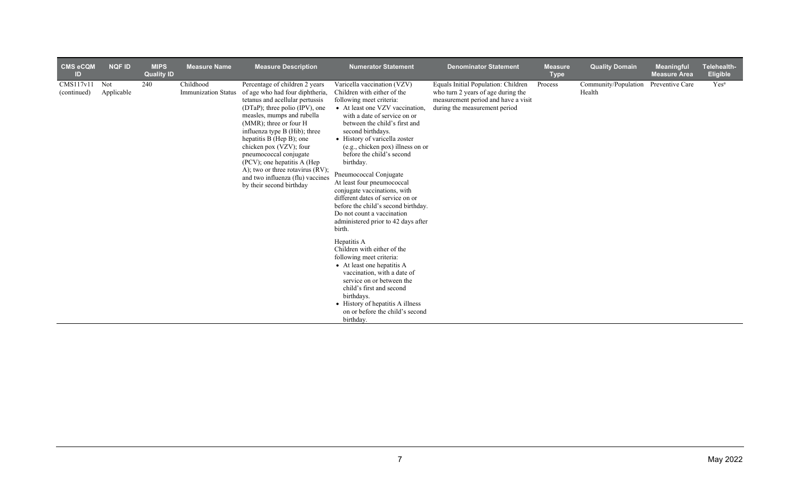| <b>CMS eCQM</b><br>ID    | <b>NQF ID</b>     | <b>MIPS</b><br><b>Quality ID</b> | <b>Measure Name</b>                     | <b>Measure Description</b>                                                                                                                                                                                                                                                                                                                                                                                                                              | <b>Numerator Statement</b>                                                                                                                                                                                                                                                                                                                                                                                                                                                                                                                                                                                                                                                                                               | <b>Denominator Statement</b>                                                                                                                      | <b>Measure</b><br><b>Type</b> | <b>Quality Domain</b>                          | <b>Meaningful</b><br><b>Measure Area</b> | Telehealth-<br><b>Eligible</b> |
|--------------------------|-------------------|----------------------------------|-----------------------------------------|---------------------------------------------------------------------------------------------------------------------------------------------------------------------------------------------------------------------------------------------------------------------------------------------------------------------------------------------------------------------------------------------------------------------------------------------------------|--------------------------------------------------------------------------------------------------------------------------------------------------------------------------------------------------------------------------------------------------------------------------------------------------------------------------------------------------------------------------------------------------------------------------------------------------------------------------------------------------------------------------------------------------------------------------------------------------------------------------------------------------------------------------------------------------------------------------|---------------------------------------------------------------------------------------------------------------------------------------------------|-------------------------------|------------------------------------------------|------------------------------------------|--------------------------------|
| CMS117v11<br>(continued) | Not<br>Applicable | 240                              | Childhood<br><b>Immunization Status</b> | Percentage of children 2 years<br>of age who had four diphtheria,<br>tetanus and acellular pertussis<br>(DTaP); three polio (IPV), one<br>measles, mumps and rubella<br>$(MMR)$ ; three or four H<br>influenza type B (Hib); three<br>hepatitis B (Hep B); one<br>chicken pox (VZV); four<br>pneumococcal conjugate<br>(PCV); one hepatitis A (Hep)<br>A); two or three rotavirus (RV);<br>and two influenza (flu) vaccines<br>by their second birthday | Varicella vaccination (VZV)<br>Children with either of the<br>following meet criteria:<br>• At least one VZV vaccination,<br>with a date of service on or<br>between the child's first and<br>second birthdays.<br>• History of varicella zoster<br>(e.g., chicken pox) illness on or<br>before the child's second<br>birthday.<br>Pneumococcal Conjugate<br>At least four pneumococcal<br>conjugate vaccinations, with<br>different dates of service on or<br>before the child's second birthday.<br>Do not count a vaccination<br>administered prior to 42 days after<br>birth.<br>Hepatitis A<br>Children with either of the<br>following meet criteria:<br>• At least one hepatitis A<br>vaccination, with a date of | Equals Initial Population: Children<br>who turn 2 years of age during the<br>measurement period and have a visit<br>during the measurement period | Process                       | Community/Population Preventive Care<br>Health |                                          | Yes <sup>a</sup>               |
|                          |                   |                                  |                                         |                                                                                                                                                                                                                                                                                                                                                                                                                                                         | service on or between the<br>child's first and second                                                                                                                                                                                                                                                                                                                                                                                                                                                                                                                                                                                                                                                                    |                                                                                                                                                   |                               |                                                |                                          |                                |
|                          |                   |                                  |                                         |                                                                                                                                                                                                                                                                                                                                                                                                                                                         | birthdays.<br>• History of hepatitis A illness<br>on or before the child's second                                                                                                                                                                                                                                                                                                                                                                                                                                                                                                                                                                                                                                        |                                                                                                                                                   |                               |                                                |                                          |                                |
|                          |                   |                                  |                                         |                                                                                                                                                                                                                                                                                                                                                                                                                                                         | birthday.                                                                                                                                                                                                                                                                                                                                                                                                                                                                                                                                                                                                                                                                                                                |                                                                                                                                                   |                               |                                                |                                          |                                |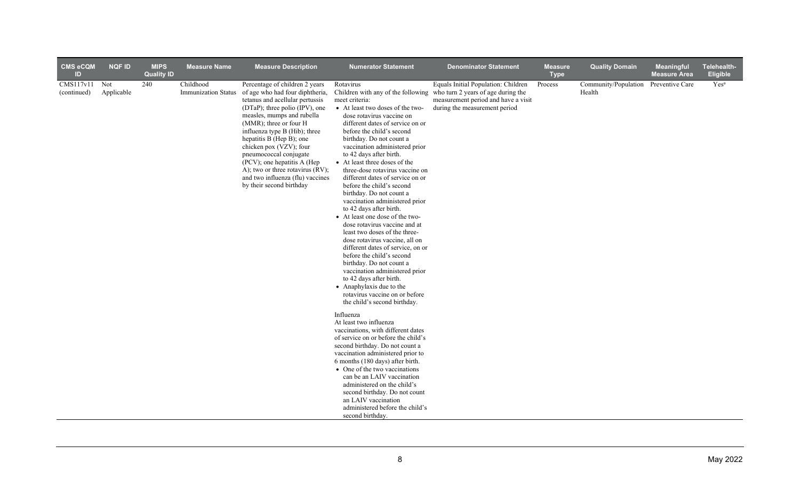| <b>CMS eCQM</b><br>ID        | <b>NQF ID</b> | <b>MIPS</b><br><b>Quality ID</b> | <b>Measure Name</b>                     | <b>Measure Description</b>                                                                                                                                                                                                                                                                                                                                                                                                                          | <b>Numerator Statement</b>                                                                                                                                                                                                                                                                                                                                                                                                                                                                                                                                                                                                                                                                                                                                                                                                                                                           | <b>Denominator Statement</b>                                                                                                                                                         | <b>Measure</b><br><b>Type</b> | <b>Quality Domain</b>          | <b>Meaningful</b><br><b>Measure Area</b> | Telehealth-<br><b>Eligible</b> |
|------------------------------|---------------|----------------------------------|-----------------------------------------|-----------------------------------------------------------------------------------------------------------------------------------------------------------------------------------------------------------------------------------------------------------------------------------------------------------------------------------------------------------------------------------------------------------------------------------------------------|--------------------------------------------------------------------------------------------------------------------------------------------------------------------------------------------------------------------------------------------------------------------------------------------------------------------------------------------------------------------------------------------------------------------------------------------------------------------------------------------------------------------------------------------------------------------------------------------------------------------------------------------------------------------------------------------------------------------------------------------------------------------------------------------------------------------------------------------------------------------------------------|--------------------------------------------------------------------------------------------------------------------------------------------------------------------------------------|-------------------------------|--------------------------------|------------------------------------------|--------------------------------|
| CMS117v11 Not<br>(continued) | Applicable    | 240                              | Childhood<br><b>Immunization Status</b> | Percentage of children 2 years<br>of age who had four diphtheria,<br>tetanus and acellular pertussis<br>(DTaP); three polio (IPV), one<br>measles, mumps and rubella<br>(MMR); three or four H<br>influenza type B (Hib); three<br>hepatitis B (Hep B); one<br>chicken pox (VZV); four<br>pneumococcal conjugate<br>(PCV); one hepatitis A (Hep<br>A); two or three rotavirus (RV);<br>and two influenza (flu) vaccines<br>by their second birthday | Rotavirus<br>meet criteria:<br>• At least two doses of the two-<br>dose rotavirus vaccine on<br>different dates of service on or<br>before the child's second<br>birthday. Do not count a<br>vaccination administered prior<br>to 42 days after birth.<br>• At least three doses of the<br>three-dose rotavirus vaccine on<br>different dates of service on or<br>before the child's second<br>birthday. Do not count a<br>vaccination administered prior<br>to 42 days after birth.<br>• At least one dose of the two-<br>dose rotavirus vaccine and at<br>least two doses of the three-<br>dose rotavirus vaccine, all on<br>different dates of service, on or<br>before the child's second<br>birthday. Do not count a<br>vaccination administered prior<br>to 42 days after birth.<br>• Anaphylaxis due to the<br>rotavirus vaccine on or before<br>the child's second birthday. | Equals Initial Population: Children<br>Children with any of the following who turn 2 years of age during the<br>measurement period and have a visit<br>during the measurement period | Process                       | Community/Population<br>Health | Preventive Care                          | $\mathrm{Yes}^{\mathrm{a}}$    |
|                              |               |                                  |                                         |                                                                                                                                                                                                                                                                                                                                                                                                                                                     | Influenza<br>At least two influenza<br>vaccinations, with different dates<br>of service on or before the child's<br>second birthday. Do not count a<br>vaccination administered prior to<br>6 months (180 days) after birth.<br>• One of the two vaccinations<br>can be an LAIV vaccination<br>administered on the child's<br>second birthday. Do not count<br>an LAIV vaccination<br>administered before the child's<br>second birthday.                                                                                                                                                                                                                                                                                                                                                                                                                                            |                                                                                                                                                                                      |                               |                                |                                          |                                |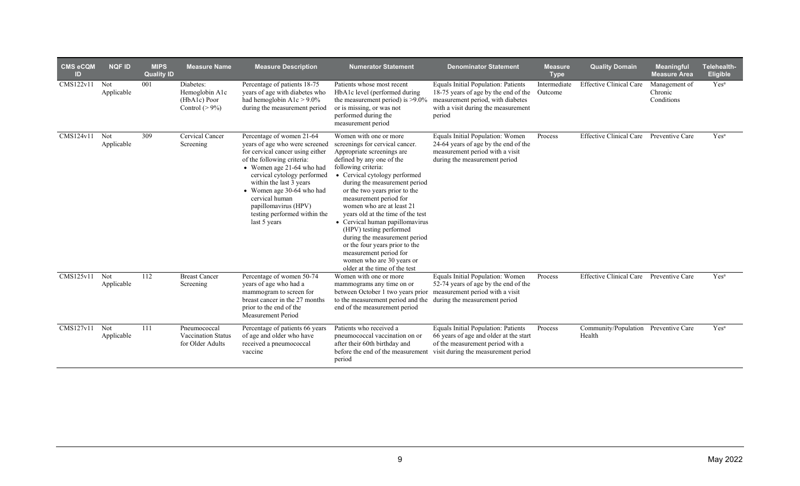| <b>CMS eCQM</b><br>ID | <b>NQF ID</b>            | <b>MIPS</b><br><b>Quality ID</b> | <b>Measure Name</b>                                                  | <b>Measure Description</b>                                                                                                                                                                                                                                                                                                                  | <b>Numerator Statement</b>                                                                                                                                                                                                                                                                                                                                                                                                                                                                                                                                          | <b>Denominator Statement</b>                                                                                                                                                               | <b>Measure</b><br><b>Type</b> | <b>Quality Domain</b>                          | <b>Meaningful</b><br><b>Measure Area</b> | Telehealth-<br><b>Eligible</b> |
|-----------------------|--------------------------|----------------------------------|----------------------------------------------------------------------|---------------------------------------------------------------------------------------------------------------------------------------------------------------------------------------------------------------------------------------------------------------------------------------------------------------------------------------------|---------------------------------------------------------------------------------------------------------------------------------------------------------------------------------------------------------------------------------------------------------------------------------------------------------------------------------------------------------------------------------------------------------------------------------------------------------------------------------------------------------------------------------------------------------------------|--------------------------------------------------------------------------------------------------------------------------------------------------------------------------------------------|-------------------------------|------------------------------------------------|------------------------------------------|--------------------------------|
| CMS122v11             | Not<br>Applicable        | 001                              | Diabetes:<br>Hemoglobin A1c<br>$(HbA1c)$ Poor<br>Control ( $> 9\%$ ) | Percentage of patients 18-75<br>years of age with diabetes who<br>had hemoglobin $A1c > 9.0\%$<br>during the measurement period                                                                                                                                                                                                             | Patients whose most recent<br>HbA1c level (performed during<br>the measurement period) is $>9.0\%$<br>or is missing, or was not<br>performed during the<br>measurement period                                                                                                                                                                                                                                                                                                                                                                                       | Equals Initial Population: Patients<br>18-75 years of age by the end of the<br>measurement period, with diabetes<br>with a visit during the measurement<br>period                          | Intermediate<br>Outcome       | <b>Effective Clinical Care</b>                 | Management of<br>Chronic<br>Conditions   | Yes <sup>a</sup>               |
| CMS124v11             | Not<br>Applicable        | 309                              | Cervical Cancer<br>Screening                                         | Percentage of women 21-64<br>years of age who were screened<br>for cervical cancer using either<br>of the following criteria:<br>• Women age 21-64 who had<br>cervical cytology performed<br>within the last 3 years<br>• Women age 30-64 who had<br>cervical human<br>papillomavirus (HPV)<br>testing performed within the<br>last 5 years | Women with one or more<br>screenings for cervical cancer.<br>Appropriate screenings are<br>defined by any one of the<br>following criteria:<br>• Cervical cytology performed<br>during the measurement period<br>or the two years prior to the<br>measurement period for<br>women who are at least 21<br>years old at the time of the test<br>• Cervical human papillomavirus<br>(HPV) testing performed<br>during the measurement period<br>or the four years prior to the<br>measurement period for<br>women who are 30 years or<br>older at the time of the test | Equals Initial Population: Women<br>24-64 years of age by the end of the<br>measurement period with a visit<br>during the measurement period                                               | Process                       | <b>Effective Clinical Care</b>                 | Preventive Care                          | Yes <sup>a</sup>               |
| CMS125v11             | <b>Not</b><br>Applicable | 112                              | <b>Breast Cancer</b><br>Screening                                    | Percentage of women 50-74<br>years of age who had a<br>mammogram to screen for<br>breast cancer in the 27 months<br>prior to the end of the<br><b>Measurement Period</b>                                                                                                                                                                    | Women with one or more<br>mammograms any time on or<br>between October 1 two years prior measurement period with a visit<br>to the measurement period and the during the measurement period<br>end of the measurement period                                                                                                                                                                                                                                                                                                                                        | Equals Initial Population: Women<br>52-74 years of age by the end of the                                                                                                                   | Process                       | <b>Effective Clinical Care</b>                 | Preventive Care                          | Yes <sup>a</sup>               |
| CMS127v11             | Not<br>Applicable        | 111                              | Pneumococcal<br>Vaccination Status<br>for Older Adults               | Percentage of patients 66 years<br>of age and older who have<br>received a pneumococcal<br>vaccine                                                                                                                                                                                                                                          | Patients who received a<br>pneumococcal vaccination on or<br>after their 60th birthday and<br>period                                                                                                                                                                                                                                                                                                                                                                                                                                                                | Equals Initial Population: Patients<br>66 years of age and older at the start<br>of the measurement period with a<br>before the end of the measurement visit during the measurement period | Process                       | Community/Population Preventive Care<br>Health |                                          | Yes <sup>a</sup>               |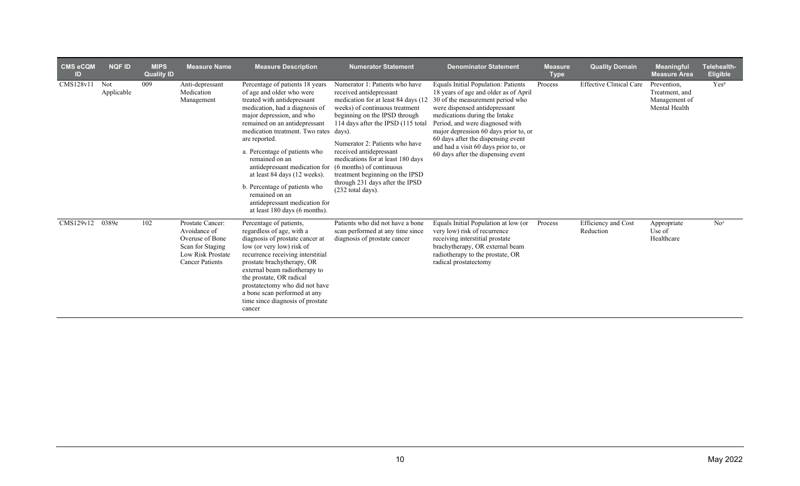| <b>CMS eCQM</b><br>ID. | <b>NQF ID</b>     | <b>MIPS</b><br><b>Quality ID</b> | <b>Measure Name</b>                                                                                                    | <b>Measure Description</b>                                                                                                                                                                                                                                                                                                                                                                                                                                                                                               | <b>Numerator Statement</b>                                                                                                                                                                                                                                                                                                                                                                              | <b>Denominator Statement</b>                                                                                                                                                                                                                                                                                                                                                              | <b>Measure</b><br><b>Type</b> | <b>Quality Domain</b>            | <b>Meaningful</b><br><b>Measure Area</b>                        | <b>Telehealth-</b><br><b>Eligible</b> |
|------------------------|-------------------|----------------------------------|------------------------------------------------------------------------------------------------------------------------|--------------------------------------------------------------------------------------------------------------------------------------------------------------------------------------------------------------------------------------------------------------------------------------------------------------------------------------------------------------------------------------------------------------------------------------------------------------------------------------------------------------------------|---------------------------------------------------------------------------------------------------------------------------------------------------------------------------------------------------------------------------------------------------------------------------------------------------------------------------------------------------------------------------------------------------------|-------------------------------------------------------------------------------------------------------------------------------------------------------------------------------------------------------------------------------------------------------------------------------------------------------------------------------------------------------------------------------------------|-------------------------------|----------------------------------|-----------------------------------------------------------------|---------------------------------------|
| CMS128v11              | Not<br>Applicable | 009                              | Anti-depressant<br>Medication<br>Management                                                                            | Percentage of patients 18 years<br>of age and older who were<br>treated with antidepressant<br>medication, had a diagnosis of<br>major depression, and who<br>remained on an antidepressant<br>medication treatment. Two rates days).<br>are reported.<br>a. Percentage of patients who<br>remained on an<br>antidepressant medication for (6 months) of continuous<br>at least 84 days (12 weeks).<br>b. Percentage of patients who<br>remained on an<br>antidepressant medication for<br>at least 180 days (6 months). | Numerator 1: Patients who have<br>received antidepressant<br>medication for at least 84 days (12)<br>weeks) of continuous treatment<br>beginning on the IPSD through<br>114 days after the IPSD (115 total<br>Numerator 2: Patients who have<br>received antidepressant<br>medications for at least 180 days<br>treatment beginning on the IPSD<br>through 231 days after the IPSD<br>(232 total days). | <b>Equals Initial Population: Patients</b><br>18 years of age and older as of April<br>30 of the measurement period who<br>were dispensed antidepressant<br>medications during the Intake<br>Period, and were diagnosed with<br>major depression 60 days prior to, or<br>60 days after the dispensing event<br>and had a visit 60 days prior to, or<br>60 days after the dispensing event | Process                       | <b>Effective Clinical Care</b>   | Prevention,<br>Treatment, and<br>Management of<br>Mental Health | Yes <sup>a</sup>                      |
| CMS129v12              | 0389e             | 102                              | Prostate Cancer:<br>Avoidance of<br>Overuse of Bone<br>Scan for Staging<br>Low Risk Prostate<br><b>Cancer Patients</b> | Percentage of patients,<br>regardless of age, with a<br>diagnosis of prostate cancer at<br>low (or very low) risk of<br>recurrence receiving interstitial<br>prostate brachytherapy, OR<br>external beam radiotherapy to<br>the prostate, OR radical<br>prostatectomy who did not have<br>a bone scan performed at any<br>time since diagnosis of prostate<br>cancer                                                                                                                                                     | Patients who did not have a bone<br>scan performed at any time since<br>diagnosis of prostate cancer                                                                                                                                                                                                                                                                                                    | Equals Initial Population at low (or<br>very low) risk of recurrence<br>receiving interstitial prostate<br>brachytherapy, OR external beam<br>radiotherapy to the prostate, OR<br>radical prostatectomy                                                                                                                                                                                   | Process                       | Efficiency and Cost<br>Reduction | Appropriate<br>Use of<br>Healthcare                             | No <sup>c</sup>                       |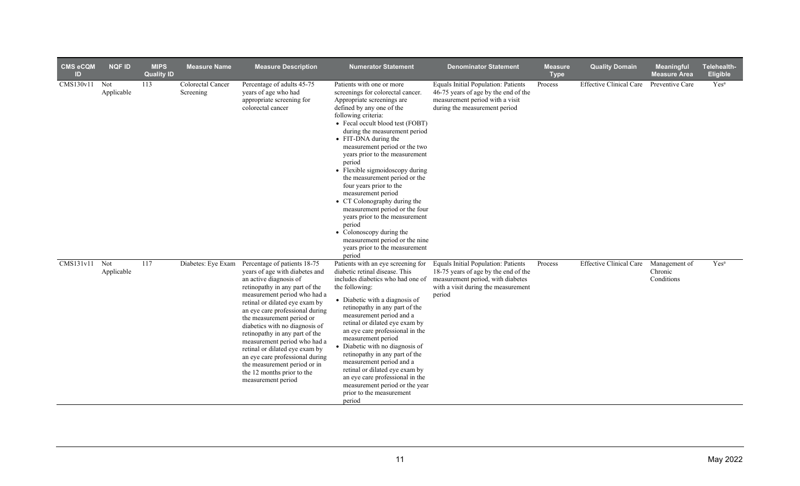| <b>CMS eCQM</b><br>ID | <b>NQF ID</b>     | <b>MIPS</b><br><b>Quality ID</b> | <b>Measure Name</b>            | <b>Measure Description</b>                                                                                                                                                                                                                                                                                                                                                                                                                                                                                                | <b>Numerator Statement</b>                                                                                                                                                                                                                                                                                                                                                                                                                                                                                                                                                                                                                                              | <b>Denominator Statement</b>                                                                                                                                      | <b>Measure</b><br><b>Type</b> | <b>Quality Domain</b>          | Meaningful<br><b>Measure Area</b>      | Telehealth-<br>Eligible |
|-----------------------|-------------------|----------------------------------|--------------------------------|---------------------------------------------------------------------------------------------------------------------------------------------------------------------------------------------------------------------------------------------------------------------------------------------------------------------------------------------------------------------------------------------------------------------------------------------------------------------------------------------------------------------------|-------------------------------------------------------------------------------------------------------------------------------------------------------------------------------------------------------------------------------------------------------------------------------------------------------------------------------------------------------------------------------------------------------------------------------------------------------------------------------------------------------------------------------------------------------------------------------------------------------------------------------------------------------------------------|-------------------------------------------------------------------------------------------------------------------------------------------------------------------|-------------------------------|--------------------------------|----------------------------------------|-------------------------|
| CMS130v11             | Not<br>Applicable | 113                              | Colorectal Cancer<br>Screening | Percentage of adults 45-75<br>years of age who had<br>appropriate screening for<br>colorectal cancer                                                                                                                                                                                                                                                                                                                                                                                                                      | Patients with one or more<br>screenings for colorectal cancer.<br>Appropriate screenings are<br>defined by any one of the<br>following criteria:<br>• Fecal occult blood test (FOBT)<br>during the measurement period<br>• FIT-DNA during the<br>measurement period or the two<br>years prior to the measurement<br>period<br>• Flexible sigmoidoscopy during<br>the measurement period or the<br>four years prior to the<br>measurement period<br>• CT Colonography during the<br>measurement period or the four<br>years prior to the measurement<br>period<br>• Colonoscopy during the<br>measurement period or the nine<br>years prior to the measurement<br>period | Equals Initial Population: Patients<br>46-75 years of age by the end of the<br>measurement period with a visit<br>during the measurement period                   | Process                       | <b>Effective Clinical Care</b> | Preventive Care                        | Yes <sup>a</sup>        |
| CMS131v11             | Not<br>Applicable | 117                              | Diabetes: Eye Exam             | Percentage of patients 18-75<br>years of age with diabetes and<br>an active diagnosis of<br>retinopathy in any part of the<br>measurement period who had a<br>retinal or dilated eye exam by<br>an eye care professional during<br>the measurement period or<br>diabetics with no diagnosis of<br>retinopathy in any part of the<br>measurement period who had a<br>retinal or dilated eye exam by<br>an eye care professional during<br>the measurement period or in<br>the 12 months prior to the<br>measurement period | Patients with an eye screening for<br>diabetic retinal disease. This<br>includes diabetics who had one of<br>the following:<br>• Diabetic with a diagnosis of<br>retinopathy in any part of the<br>measurement period and a<br>retinal or dilated eye exam by<br>an eye care professional in the<br>measurement period<br>• Diabetic with no diagnosis of<br>retinopathy in any part of the<br>measurement period and a<br>retinal or dilated eye exam by<br>an eye care professional in the<br>measurement period or the year<br>prior to the measurement<br>period                                                                                                    | Equals Initial Population: Patients<br>18-75 years of age by the end of the<br>measurement period, with diabetes<br>with a visit during the measurement<br>period | Process                       | <b>Effective Clinical Care</b> | Management of<br>Chronic<br>Conditions | Yes <sup>a</sup>        |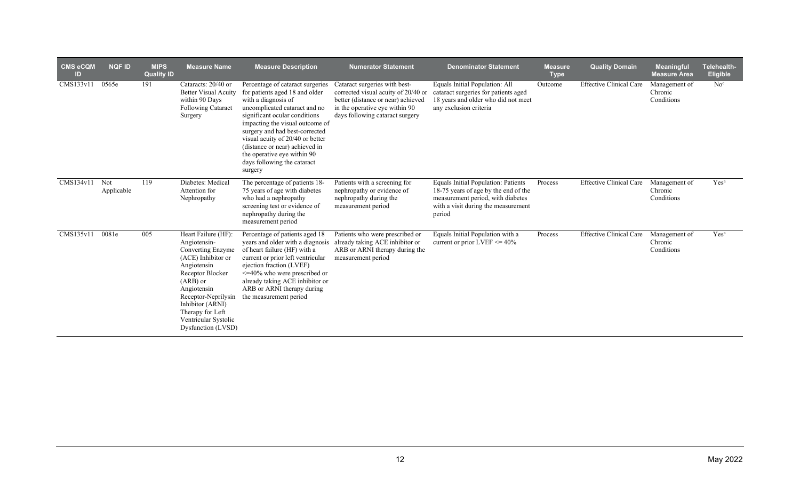| <b>CMS eCQM</b><br>ID | <b>NQF ID</b>     | <b>MIPS</b><br><b>Quality ID</b> | <b>Measure Name</b>                                                                                                                                                                                                                                         | <b>Measure Description</b>                                                                                                                                                                                                                                                                                                                                                      | <b>Numerator Statement</b>                                                                                                                                                      | <b>Denominator Statement</b>                                                                                                                                      | <b>Measure</b><br><b>Type</b> | <b>Quality Domain</b>          | <b>Meaningful</b><br><b>Measure Area</b> | Telehealth-<br>Eligible |
|-----------------------|-------------------|----------------------------------|-------------------------------------------------------------------------------------------------------------------------------------------------------------------------------------------------------------------------------------------------------------|---------------------------------------------------------------------------------------------------------------------------------------------------------------------------------------------------------------------------------------------------------------------------------------------------------------------------------------------------------------------------------|---------------------------------------------------------------------------------------------------------------------------------------------------------------------------------|-------------------------------------------------------------------------------------------------------------------------------------------------------------------|-------------------------------|--------------------------------|------------------------------------------|-------------------------|
| CMS133v11             | 0565e             | 191                              | Cataracts: 20/40 or<br><b>Better Visual Acuity</b><br>within 90 Days<br><b>Following Cataract</b><br>Surgery                                                                                                                                                | Percentage of cataract surgeries<br>for patients aged 18 and older<br>with a diagnosis of<br>uncomplicated cataract and no<br>significant ocular conditions<br>impacting the visual outcome of<br>surgery and had best-corrected<br>visual acuity of 20/40 or better<br>(distance or near) achieved in<br>the operative eye within 90<br>days following the cataract<br>surgery | Cataract surgeries with best-<br>corrected visual acuity of 20/40 or<br>better (distance or near) achieved<br>in the operative eye within 90<br>days following cataract surgery | Equals Initial Population: All<br>cataract surgeries for patients aged<br>18 years and older who did not meet<br>any exclusion criteria                           | Outcome                       | <b>Effective Clinical Care</b> | Management of<br>Chronic<br>Conditions   | No <sup>c</sup>         |
| CMS134v11             | Not<br>Applicable | 119                              | Diabetes: Medical<br>Attention for<br>Nephropathy                                                                                                                                                                                                           | The percentage of patients 18-<br>75 years of age with diabetes<br>who had a nephropathy<br>screening test or evidence of<br>nephropathy during the<br>measurement period                                                                                                                                                                                                       | Patients with a screening for<br>nephropathy or evidence of<br>nephropathy during the<br>measurement period                                                                     | Equals Initial Population: Patients<br>18-75 years of age by the end of the<br>measurement period, with diabetes<br>with a visit during the measurement<br>period | Process                       | <b>Effective Clinical Care</b> | Management of<br>Chronic<br>Conditions   | Yes <sup>a</sup>        |
| CMS135v11             | 0081e             | 005                              | Heart Failure (HF):<br>Angiotensin-<br>Converting Enzyme<br>(ACE) Inhibitor or<br>Angiotensin<br>Receptor Blocker<br>$(ARB)$ or<br>Angiotensin<br>Receptor-Neprilysin<br>Inhibitor (ARNI)<br>Therapy for Left<br>Ventricular Systolic<br>Dysfunction (LVSD) | Percentage of patients aged 18<br>years and older with a diagnosis<br>of heart failure (HF) with a<br>current or prior left ventricular<br>ejection fraction (LVEF)<br>$\leq 40\%$ who were prescribed or<br>already taking ACE inhibitor or<br>ARB or ARNI therapy during<br>the measurement period                                                                            | Patients who were prescribed or<br>already taking ACE inhibitor or<br>ARB or ARNI therapy during the<br>measurement period                                                      | Equals Initial Population with a<br>current or prior LVEF $\leq$ 40%                                                                                              | Process                       | <b>Effective Clinical Care</b> | Management of<br>Chronic<br>Conditions   | Yes <sup>a</sup>        |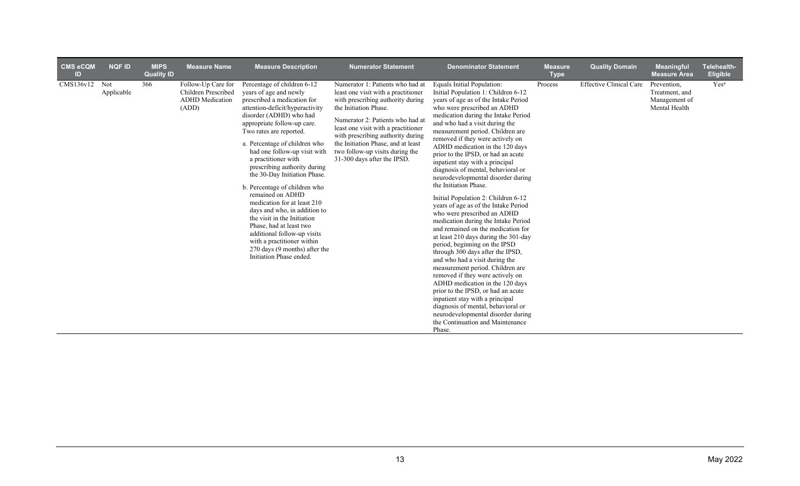| <b>CMS eCQM</b><br>ID | <b>NQF ID</b> | <b>MIPS</b><br><b>Quality ID</b> | <b>Measure Name</b>                                                          | <b>Measure Description</b>                                                                                                                                                                                                                                                                                                                                                                                                                                                                                                                                                                                                                                                  | <b>Numerator Statement</b>                                                                                                                                                                                                                                                                                                                                    | <b>Denominator Statement</b>                                                                                                                                                                                                                                                                                                                                                                                                                                                                                                                                                                                                                                                                                                                                                                                                                                                                                                                                                                                                                                                                                                                                       | <b>Measure</b><br><b>Type</b> | <b>Quality Domain</b>          | <b>Meaningful</b><br><b>Measure Area</b>                        | Telehealth-<br><b>Eligible</b> |
|-----------------------|---------------|----------------------------------|------------------------------------------------------------------------------|-----------------------------------------------------------------------------------------------------------------------------------------------------------------------------------------------------------------------------------------------------------------------------------------------------------------------------------------------------------------------------------------------------------------------------------------------------------------------------------------------------------------------------------------------------------------------------------------------------------------------------------------------------------------------------|---------------------------------------------------------------------------------------------------------------------------------------------------------------------------------------------------------------------------------------------------------------------------------------------------------------------------------------------------------------|--------------------------------------------------------------------------------------------------------------------------------------------------------------------------------------------------------------------------------------------------------------------------------------------------------------------------------------------------------------------------------------------------------------------------------------------------------------------------------------------------------------------------------------------------------------------------------------------------------------------------------------------------------------------------------------------------------------------------------------------------------------------------------------------------------------------------------------------------------------------------------------------------------------------------------------------------------------------------------------------------------------------------------------------------------------------------------------------------------------------------------------------------------------------|-------------------------------|--------------------------------|-----------------------------------------------------------------|--------------------------------|
| $CMS136v12$ Not       | Applicable    | 366                              | Follow-Up Care for<br>Children Prescribed<br><b>ADHD</b> Medication<br>(ADD) | Percentage of children 6-12<br>years of age and newly<br>prescribed a medication for<br>attention-deficit/hyperactivity<br>disorder (ADHD) who had<br>appropriate follow-up care.<br>Two rates are reported.<br>a. Percentage of children who<br>had one follow-up visit with<br>a practitioner with<br>prescribing authority during<br>the 30-Day Initiation Phase.<br>b. Percentage of children who<br>remained on ADHD<br>medication for at least 210<br>days and who, in addition to<br>the visit in the Initiation<br>Phase, had at least two<br>additional follow-up visits<br>with a practitioner within<br>270 days (9 months) after the<br>Initiation Phase ended. | Numerator 1: Patients who had at<br>least one visit with a practitioner<br>with prescribing authority during<br>the Initiation Phase.<br>Numerator 2: Patients who had at<br>least one visit with a practitioner<br>with prescribing authority during<br>the Initiation Phase, and at least<br>two follow-up visits during the<br>31-300 days after the IPSD. | Equals Initial Population:<br>Initial Population 1: Children 6-12<br>years of age as of the Intake Period<br>who were prescribed an ADHD<br>medication during the Intake Period<br>and who had a visit during the<br>measurement period. Children are<br>removed if they were actively on<br>ADHD medication in the 120 days<br>prior to the IPSD, or had an acute<br>inpatient stay with a principal<br>diagnosis of mental, behavioral or<br>neurodevelopmental disorder during<br>the Initiation Phase.<br>Initial Population 2: Children 6-12<br>years of age as of the Intake Period<br>who were prescribed an ADHD<br>medication during the Intake Period<br>and remained on the medication for<br>at least 210 days during the 301-day<br>period, beginning on the IPSD<br>through 300 days after the IPSD,<br>and who had a visit during the<br>measurement period. Children are<br>removed if they were actively on<br>ADHD medication in the 120 days<br>prior to the IPSD, or had an acute<br>inpatient stay with a principal<br>diagnosis of mental, behavioral or<br>neurodevelopmental disorder during<br>the Continuation and Maintenance<br>Phase. | Process                       | <b>Effective Clinical Care</b> | Prevention,<br>Treatment, and<br>Management of<br>Mental Health | Yes <sup>a</sup>               |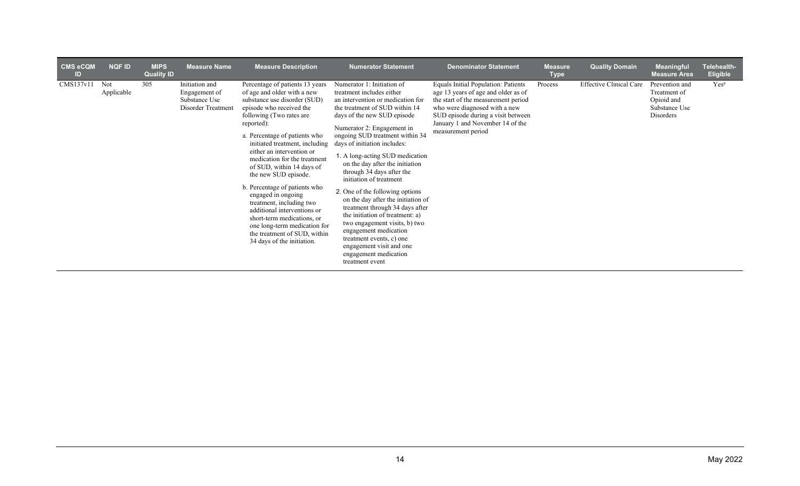| <b>CMS eCQM</b><br>ID | <b>NQF ID</b>     | <b>MIPS</b><br><b>Quality ID</b> | <b>Measure Name</b>                                                           | <b>Measure Description</b>                                                                                                                                                                                                                                                                                                                                                                                                                                                                                                                                                                              | <b>Numerator Statement</b>                                                                                                                                                                                                                                                                                                                                                                                                                                                                                                                                                                                                                                                                                | <b>Denominator Statement</b>                                                                                                                                                                                                                              | <b>Measure</b><br><b>Type</b> | <b>Quality Domain</b>          | <b>Meaningful</b><br><b>Measure Area</b>                                   | Telehealth-<br><b>Eligible</b> |
|-----------------------|-------------------|----------------------------------|-------------------------------------------------------------------------------|---------------------------------------------------------------------------------------------------------------------------------------------------------------------------------------------------------------------------------------------------------------------------------------------------------------------------------------------------------------------------------------------------------------------------------------------------------------------------------------------------------------------------------------------------------------------------------------------------------|-----------------------------------------------------------------------------------------------------------------------------------------------------------------------------------------------------------------------------------------------------------------------------------------------------------------------------------------------------------------------------------------------------------------------------------------------------------------------------------------------------------------------------------------------------------------------------------------------------------------------------------------------------------------------------------------------------------|-----------------------------------------------------------------------------------------------------------------------------------------------------------------------------------------------------------------------------------------------------------|-------------------------------|--------------------------------|----------------------------------------------------------------------------|--------------------------------|
| CMS137v11             | Not<br>Applicable | 305                              | Initiation and<br>Engagement of<br>Substance Use<br><b>Disorder Treatment</b> | Percentage of patients 13 years<br>of age and older with a new<br>substance use disorder (SUD)<br>episode who received the<br>following (Two rates are<br>reported):<br>a. Percentage of patients who<br>initiated treatment, including<br>either an intervention or<br>medication for the treatment<br>of SUD, within 14 days of<br>the new SUD episode.<br>b. Percentage of patients who<br>engaged in ongoing<br>treatment, including two<br>additional interventions or<br>short-term medications, or<br>one long-term medication for<br>the treatment of SUD, within<br>34 days of the initiation. | Numerator 1: Initiation of<br>treatment includes either<br>an intervention or medication for<br>the treatment of SUD within 14<br>days of the new SUD episode<br>Numerator 2: Engagement in<br>ongoing SUD treatment within 34<br>days of initiation includes:<br>1. A long-acting SUD medication<br>on the day after the initiation<br>through 34 days after the<br>initiation of treatment<br>2. One of the following options<br>on the day after the initiation of<br>treatment through 34 days after<br>the initiation of treatment: a)<br>two engagement visits, b) two<br>engagement medication<br>treatment events, c) one<br>engagement visit and one<br>engagement medication<br>treatment event | <b>Equals Initial Population: Patients</b><br>age 13 years of age and older as of<br>the start of the measurement period<br>who were diagnosed with a new<br>SUD episode during a visit between<br>January 1 and November 14 of the<br>measurement period | Process                       | <b>Effective Clinical Care</b> | Prevention and<br>Treatment of<br>Opioid and<br>Substance Use<br>Disorders | Yes <sup>a</sup>               |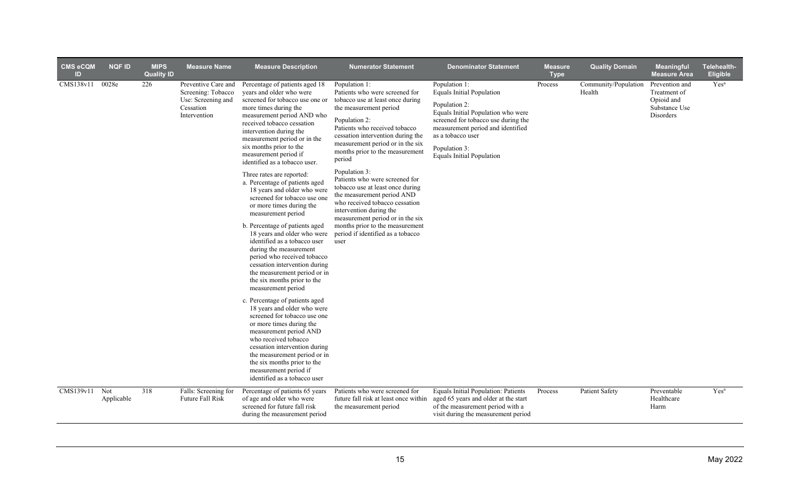| <b>CMS eCQM</b><br>ID         | <b>NQF ID</b>     | <b>MIPS</b><br><b>Quality ID</b> | <b>Measure Name</b>                                                                          | <b>Measure Description</b>                                                                                                                                                                                                                                                                                                                                                                                                                                                                                                                                                                                                                                                                                                                  | <b>Numerator Statement</b>                                                                                                                                                                                                                                                                         | <b>Denominator Statement</b>                                                                                                                                                                                                                                   | <b>Measure</b><br><b>Type</b> | <b>Quality Domain</b> | Meaningful<br><b>Measure Area</b>                                                               | Telehealth-<br><b>Eligible</b> |
|-------------------------------|-------------------|----------------------------------|----------------------------------------------------------------------------------------------|---------------------------------------------------------------------------------------------------------------------------------------------------------------------------------------------------------------------------------------------------------------------------------------------------------------------------------------------------------------------------------------------------------------------------------------------------------------------------------------------------------------------------------------------------------------------------------------------------------------------------------------------------------------------------------------------------------------------------------------------|----------------------------------------------------------------------------------------------------------------------------------------------------------------------------------------------------------------------------------------------------------------------------------------------------|----------------------------------------------------------------------------------------------------------------------------------------------------------------------------------------------------------------------------------------------------------------|-------------------------------|-----------------------|-------------------------------------------------------------------------------------------------|--------------------------------|
| CMS138v11                     | 0028e             | 226                              | Preventive Care and<br>Screening: Tobacco<br>Use: Screening and<br>Cessation<br>Intervention | Percentage of patients aged 18<br>vears and older who were<br>screened for tobacco use one or<br>more times during the<br>measurement period AND who<br>received tobacco cessation<br>intervention during the<br>measurement period or in the<br>six months prior to the<br>measurement period if<br>identified as a tobacco user.                                                                                                                                                                                                                                                                                                                                                                                                          | Population 1:<br>Patients who were screened for<br>tobacco use at least once during<br>the measurement period<br>Population 2:<br>Patients who received tobacco<br>cessation intervention during the<br>measurement period or in the six<br>months prior to the measurement<br>period              | Population 1:<br><b>Equals Initial Population</b><br>Population 2:<br>Equals Initial Population who were<br>screened for tobacco use during the<br>measurement period and identified<br>as a tobacco user<br>Population 3:<br><b>Equals Initial Population</b> | Process                       | Health                | Community/Population Prevention and<br>Treatment of<br>Opioid and<br>Substance Use<br>Disorders | Yes <sup>a</sup>               |
|                               |                   |                                  |                                                                                              | Three rates are reported:<br>a. Percentage of patients aged<br>18 years and older who were<br>screened for tobacco use one<br>or more times during the<br>measurement period<br>b. Percentage of patients aged<br>18 years and older who were<br>identified as a tobacco user<br>during the measurement<br>period who received tobacco<br>cessation intervention during<br>the measurement period or in<br>the six months prior to the<br>measurement period<br>c. Percentage of patients aged<br>18 years and older who were<br>screened for tobacco use one<br>or more times during the<br>measurement period AND<br>who received tobacco<br>cessation intervention during<br>the measurement period or in<br>the six months prior to the | Population 3:<br>Patients who were screened for<br>tobacco use at least once during<br>the measurement period AND<br>who received tobacco cessation<br>intervention during the<br>measurement period or in the six<br>months prior to the measurement<br>period if identified as a tobacco<br>user |                                                                                                                                                                                                                                                                |                               |                       |                                                                                                 |                                |
|                               |                   |                                  |                                                                                              | measurement period if<br>identified as a tobacco user                                                                                                                                                                                                                                                                                                                                                                                                                                                                                                                                                                                                                                                                                       |                                                                                                                                                                                                                                                                                                    |                                                                                                                                                                                                                                                                |                               |                       |                                                                                                 |                                |
| $\overline{\text{CMS139v11}}$ | Not<br>Applicable | 318                              | Falls: Screening for<br>Future Fall Risk                                                     | Percentage of patients 65 years<br>of age and older who were<br>screened for future fall risk<br>during the measurement period                                                                                                                                                                                                                                                                                                                                                                                                                                                                                                                                                                                                              | Patients who were screened for<br>future fall risk at least once within<br>the measurement period                                                                                                                                                                                                  | Equals Initial Population: Patients<br>aged 65 years and older at the start<br>of the measurement period with a<br>visit during the measurement period                                                                                                         | Process                       | <b>Patient Safety</b> | Preventable<br>Healthcare<br>Harm                                                               | Yes <sup>a</sup>               |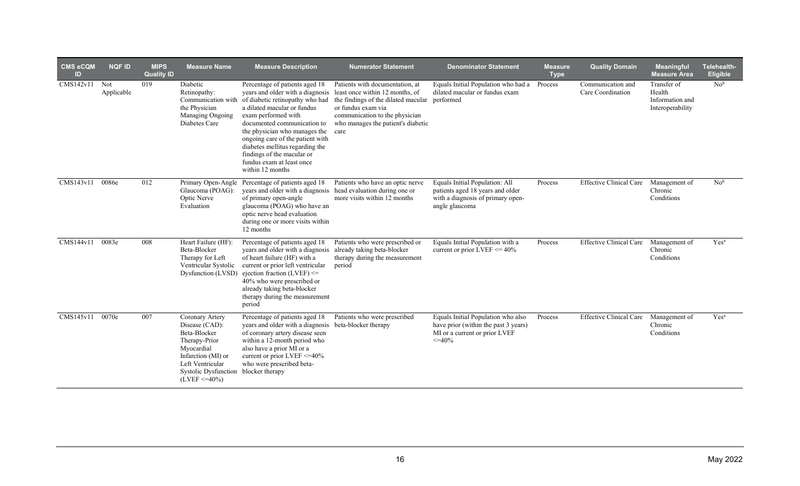| CMS eCQM<br>$\mathsf{ID}$ | <b>NQF ID</b>     | <b>MIPS</b><br><b>Quality ID</b> | <b>Measure Name</b>                                                                                                                                                                     | <b>Measure Description</b>                                                                                                                                                                                                                                                                                                                                                        | <b>Numerator Statement</b>                                                                                                                                                                                                | <b>Denominator Statement</b>                                                                                               | <b>Measure</b><br><b>Type</b> | <b>Quality Domain</b>                  | Meaningful<br><b>Measure Area</b>                            | Telehealth-<br>Eligible |
|---------------------------|-------------------|----------------------------------|-----------------------------------------------------------------------------------------------------------------------------------------------------------------------------------------|-----------------------------------------------------------------------------------------------------------------------------------------------------------------------------------------------------------------------------------------------------------------------------------------------------------------------------------------------------------------------------------|---------------------------------------------------------------------------------------------------------------------------------------------------------------------------------------------------------------------------|----------------------------------------------------------------------------------------------------------------------------|-------------------------------|----------------------------------------|--------------------------------------------------------------|-------------------------|
| CMS142v11                 | Not<br>Applicable | 019                              | Diabetic<br>Retinopathy:<br>Communication with<br>the Physician<br>Managing Ongoing<br>Diabetes Care                                                                                    | Percentage of patients aged 18<br>years and older with a diagnosis<br>of diabetic retinopathy who had<br>a dilated macular or fundus<br>exam performed with<br>documented communication to<br>the physician who manages the<br>ongoing care of the patient with<br>diabetes mellitus regarding the<br>findings of the macular or<br>fundus exam at least once<br>within 12 months | Patients with documentation, at<br>least once within 12 months, of<br>the findings of the dilated macular performed<br>or fundus exam via<br>communication to the physician<br>who manages the patient's diabetic<br>care | Equals Initial Population who had a<br>dilated macular or fundus exam                                                      | Process                       | Communication and<br>Care Coordination | Transfer of<br>Health<br>Information and<br>Interoperability | No <sup>b</sup>         |
| CMS143v11                 | 0086e             | 012                              | Primary Open-Angle<br>Glaucoma (POAG):<br>Optic Nerve<br>Evaluation                                                                                                                     | Percentage of patients aged 18<br>years and older with a diagnosis head evaluation during one or<br>of primary open-angle<br>glaucoma (POAG) who have an<br>optic nerve head evaluation<br>during one or more visits within<br>12 months                                                                                                                                          | Patients who have an optic nerve<br>more visits within 12 months                                                                                                                                                          | Equals Initial Population: All<br>patients aged 18 years and older<br>with a diagnosis of primary open-<br>angle glaucoma  | Process                       | <b>Effective Clinical Care</b>         | Management of<br>Chronic<br>Conditions                       | No <sup>b</sup>         |
| CMS144v11                 | 0083e             | 008                              | Heart Failure (HF):<br>Beta-Blocker<br>Therapy for Left<br>Ventricular Systolic<br>Dysfunction (LVSD)                                                                                   | Percentage of patients aged 18<br>years and older with a diagnosis<br>of heart failure (HF) with a<br>current or prior left ventricular<br>ejection fraction (LVEF) <=<br>40% who were prescribed or<br>already taking beta-blocker<br>therapy during the measurement<br>period                                                                                                   | Patients who were prescribed or<br>already taking beta-blocker<br>therapy during the measurement<br>period                                                                                                                | Equals Initial Population with a<br>current or prior LVEF $\leq$ 40%                                                       | Process                       | <b>Effective Clinical Care</b>         | Management of<br>Chronic<br>Conditions                       | Yes <sup>a</sup>        |
| CMS145v11                 | 0070e             | 007                              | Coronary Artery<br>Disease (CAD):<br>Beta-Blocker<br>Therapy-Prior<br>Myocardial<br>Infarction (MI) or<br>Left Ventricular<br>Systolic Dysfunction blocker therapy<br>$(LVEF \le 40\%)$ | Percentage of patients aged 18<br>years and older with a diagnosis beta-blocker therapy<br>of coronary artery disease seen<br>within a 12-month period who<br>also have a prior MI or a<br>current or prior LVEF $\leq$ =40%<br>who were prescribed beta-                                                                                                                         | Patients who were prescribed                                                                                                                                                                                              | Equals Initial Population who also<br>have prior (within the past 3 years)<br>MI or a current or prior LVEF<br>$\leq$ -40% | Process                       | <b>Effective Clinical Care</b>         | Management of<br>Chronic<br>Conditions                       | Yes <sup>a</sup>        |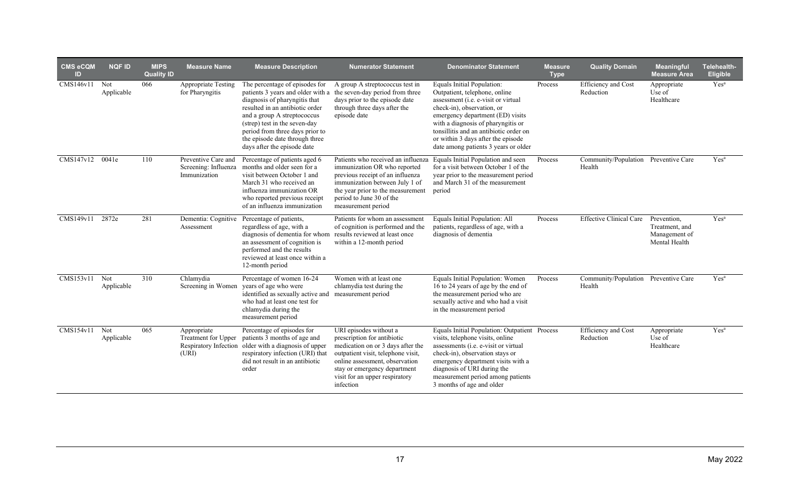| <b>CMS eCQM</b><br>ID | <b>NQF ID</b>     | <b>MIPS</b><br><b>Quality ID</b> | <b>Measure Name</b>                                                  | <b>Measure Description</b>                                                                                                                                                                                                                                                                                  | <b>Numerator Statement</b>                                                                                                                                                                                                                        | <b>Denominator Statement</b>                                                                                                                                                                                                                                                                                                       | <b>Measure</b><br><b>Type</b> | <b>Quality Domain</b>                          | <b>Meaningful</b><br><b>Measure Area</b>                        | Telehealth-<br>Eligible |
|-----------------------|-------------------|----------------------------------|----------------------------------------------------------------------|-------------------------------------------------------------------------------------------------------------------------------------------------------------------------------------------------------------------------------------------------------------------------------------------------------------|---------------------------------------------------------------------------------------------------------------------------------------------------------------------------------------------------------------------------------------------------|------------------------------------------------------------------------------------------------------------------------------------------------------------------------------------------------------------------------------------------------------------------------------------------------------------------------------------|-------------------------------|------------------------------------------------|-----------------------------------------------------------------|-------------------------|
| CMS146v11             | Not<br>Applicable | 066                              | <b>Appropriate Testing</b><br>for Pharyngitis                        | The percentage of episodes for<br>patients 3 years and older with a<br>diagnosis of pharyngitis that<br>resulted in an antibiotic order<br>and a group A streptococcus<br>(strep) test in the seven-day<br>period from three days prior to<br>the episode date through three<br>days after the episode date | A group A streptococcus test in<br>the seven-day period from three<br>days prior to the episode date<br>through three days after the<br>episode date                                                                                              | Equals Initial Population:<br>Outpatient, telephone, online<br>assessment (i.e. e-visit or virtual<br>check-in), observation, or<br>emergency department (ED) visits<br>with a diagnosis of pharyngitis or<br>tonsillitis and an antibiotic order on<br>or within 3 days after the episode<br>date among patients 3 years or older | Process                       | Efficiency and Cost<br>Reduction               | Appropriate<br>Use of<br>Healthcare                             | Yes <sup>a</sup>        |
| CMS147v12             | 0041e             | 110                              | Preventive Care and<br>Screening: Influenza<br>Immunization          | Percentage of patients aged 6<br>months and older seen for a<br>visit between October 1 and<br>March 31 who received an<br>influenza immunization OR<br>who reported previous receipt<br>of an influenza immunization                                                                                       | immunization OR who reported<br>previous receipt of an influenza<br>immunization between July 1 of<br>the year prior to the measurement<br>period to June 30 of the<br>measurement period                                                         | Patients who received an influenza Equals Initial Population and seen<br>for a visit between October 1 of the<br>year prior to the measurement period<br>and March 31 of the measurement<br>period                                                                                                                                 | Process                       | Community/Population Preventive Care<br>Health |                                                                 | Yes <sup>a</sup>        |
| CMS149v11             | 2872e             | 281                              | Dementia: Cognitive<br>Assessment                                    | Percentage of patients,<br>regardless of age, with a<br>diagnosis of dementia for whom results reviewed at least once<br>an assessment of cognition is<br>performed and the results<br>reviewed at least once within a<br>12-month period                                                                   | Patients for whom an assessment<br>of cognition is performed and the<br>within a 12-month period                                                                                                                                                  | Equals Initial Population: All<br>patients, regardless of age, with a<br>diagnosis of dementia                                                                                                                                                                                                                                     | Process                       | <b>Effective Clinical Care</b>                 | Prevention,<br>Treatment, and<br>Management of<br>Mental Health | Yes <sup>a</sup>        |
| CMS153v11             | Not<br>Applicable | 310                              | Chlamydia<br>Screening in Women                                      | Percentage of women 16-24<br>years of age who were<br>identified as sexually active and<br>who had at least one test for<br>chlamydia during the<br>measurement period                                                                                                                                      | Women with at least one<br>chlamydia test during the<br>measurement period                                                                                                                                                                        | Equals Initial Population: Women<br>16 to 24 years of age by the end of<br>the measurement period who are<br>sexually active and who had a visit<br>in the measurement period                                                                                                                                                      | Process                       | Community/Population Preventive Care<br>Health |                                                                 | Yes <sup>a</sup>        |
| CMS154v11             | Not<br>Applicable | 065                              | Appropriate<br>Treatment for Upper<br>Respiratory Infection<br>(URI) | Percentage of episodes for<br>patients 3 months of age and<br>older with a diagnosis of upper<br>respiratory infection (URI) that<br>did not result in an antibiotic<br>order                                                                                                                               | URI episodes without a<br>prescription for antibiotic<br>medication on or 3 days after the<br>outpatient visit, telephone visit,<br>online assessment, observation<br>stay or emergency department<br>visit for an upper respiratory<br>infection | Equals Initial Population: Outpatient Process<br>visits, telephone visits, online<br>assessments (i.e. e-visit or virtual<br>check-in), observation stays or<br>emergency department visits with a<br>diagnosis of URI during the<br>measurement period among patients<br>3 months of age and older                                |                               | Efficiency and Cost<br>Reduction               | Appropriate<br>Use of<br>Healthcare                             | Yes <sup>a</sup>        |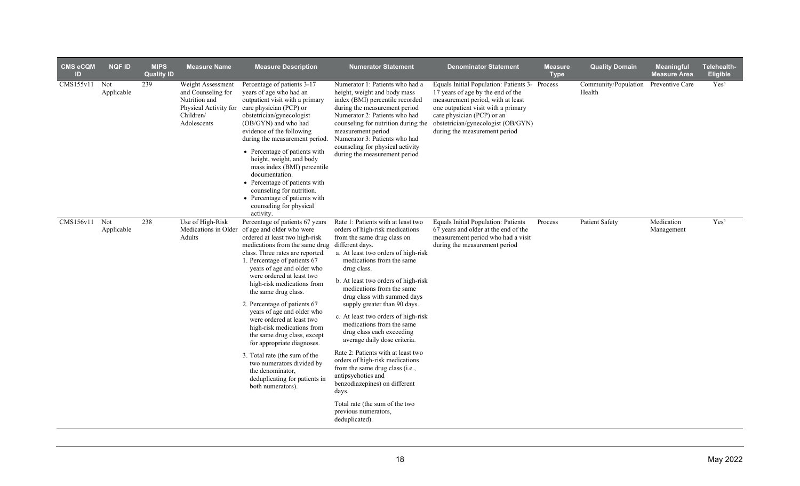| <b>CMS eCQM</b><br>ID | <b>NQF ID</b>     | <b>MIPS</b><br><b>Quality ID</b> | <b>Measure Name</b>                                                                                           | <b>Measure Description</b>                                                                                                                                                                                                                                                                                                                                                                                                                                                                                                                                                                                                                                               | <b>Numerator Statement</b>                                                                                                                                                                                                                                                                                                                                                                                                                                                                                                                                                                                                                                                                                                             | <b>Denominator Statement</b>                                                                                                                                                                                                                                                                             | <b>Measure</b><br><b>Type</b> | <b>Quality Domain</b>                          | <b>Meaningful</b><br><b>Measure Area</b> | Telehealth-<br><b>Eligible</b> |
|-----------------------|-------------------|----------------------------------|---------------------------------------------------------------------------------------------------------------|--------------------------------------------------------------------------------------------------------------------------------------------------------------------------------------------------------------------------------------------------------------------------------------------------------------------------------------------------------------------------------------------------------------------------------------------------------------------------------------------------------------------------------------------------------------------------------------------------------------------------------------------------------------------------|----------------------------------------------------------------------------------------------------------------------------------------------------------------------------------------------------------------------------------------------------------------------------------------------------------------------------------------------------------------------------------------------------------------------------------------------------------------------------------------------------------------------------------------------------------------------------------------------------------------------------------------------------------------------------------------------------------------------------------------|----------------------------------------------------------------------------------------------------------------------------------------------------------------------------------------------------------------------------------------------------------------------------------------------------------|-------------------------------|------------------------------------------------|------------------------------------------|--------------------------------|
| CMS155v11 Not         | Applicable        | 239                              | Weight Assessment<br>and Counseling for<br>Nutrition and<br>Physical Activity for<br>Children/<br>Adolescents | Percentage of patients 3-17<br>years of age who had an<br>outpatient visit with a primary<br>care physician (PCP) or<br>obstetrician/gynecologist<br>(OB/GYN) and who had<br>evidence of the following<br>during the measurement period.<br>• Percentage of patients with<br>height, weight, and body<br>mass index (BMI) percentile<br>documentation.<br>• Percentage of patients with<br>counseling for nutrition.<br>• Percentage of patients with<br>counseling for physical<br>activity.                                                                                                                                                                            | Numerator 1: Patients who had a<br>height, weight and body mass<br>index (BMI) percentile recorded<br>during the measurement period<br>Numerator 2: Patients who had<br>measurement period<br>Numerator 3: Patients who had<br>counseling for physical activity<br>during the measurement period                                                                                                                                                                                                                                                                                                                                                                                                                                       | Equals Initial Population: Patients 3- Process<br>17 years of age by the end of the<br>measurement period, with at least<br>one outpatient visit with a primary<br>care physician (PCP) or an<br>counseling for nutrition during the obstetrician/gynecologist (OB/GYN)<br>during the measurement period |                               | Community/Population Preventive Care<br>Health |                                          | $\mathrm{Yes}^{\mathrm{a}}$    |
| CMS156v11             | Not<br>Applicable | 238                              | Use of High-Risk<br>Adults                                                                                    | Percentage of patients 67 years<br>Medications in Older of age and older who were<br>ordered at least two high-risk<br>medications from the same drug<br>class. Three rates are reported.<br>1. Percentage of patients 67<br>years of age and older who<br>were ordered at least two<br>high-risk medications from<br>the same drug class.<br>2. Percentage of patients 67<br>years of age and older who<br>were ordered at least two<br>high-risk medications from<br>the same drug class, except<br>for appropriate diagnoses.<br>3. Total rate (the sum of the<br>two numerators divided by<br>the denominator,<br>deduplicating for patients in<br>both numerators). | Rate 1: Patients with at least two<br>orders of high-risk medications<br>from the same drug class on<br>different days.<br>a. At least two orders of high-risk<br>medications from the same<br>drug class.<br>b. At least two orders of high-risk<br>medications from the same<br>drug class with summed days<br>supply greater than 90 days.<br>c. At least two orders of high-risk<br>medications from the same<br>drug class each exceeding<br>average daily dose criteria.<br>Rate 2: Patients with at least two<br>orders of high-risk medications<br>from the same drug class (i.e.,<br>antipsychotics and<br>benzodiazepines) on different<br>days.<br>Total rate (the sum of the two<br>previous numerators,<br>deduplicated). | Equals Initial Population: Patients<br>67 years and older at the end of the<br>measurement period who had a visit<br>during the measurement period                                                                                                                                                       | Process                       | <b>Patient Safety</b>                          | Medication<br>Management                 | Yes <sup>a</sup>               |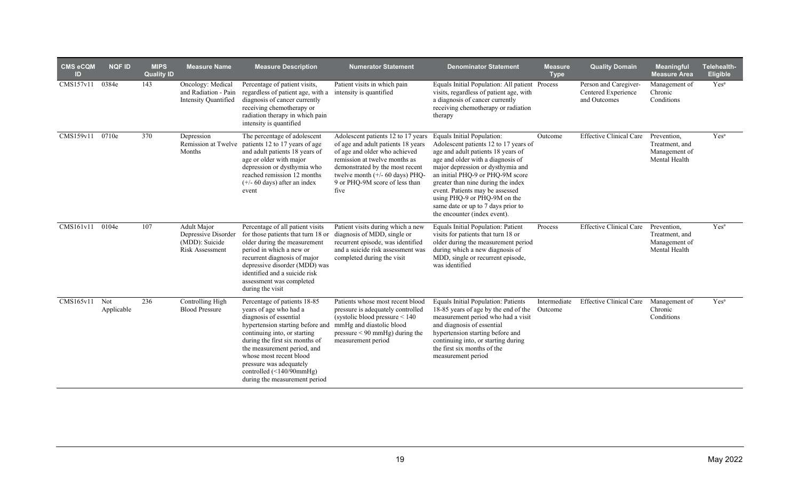| <b>CMS eCQM</b><br><b>ID</b> | <b>NQF ID</b>     | <b>MIPS</b><br><b>Quality ID</b> | <b>Measure Name</b>                                                     | <b>Measure Description</b>                                                                                                                                                                                                                                                                                                                      | <b>Numerator Statement</b>                                                                                                                                                                                                                                           | <b>Denominator Statement</b>                                                                                                                                                                                                                                                                                                                                                                           | <b>Measure</b><br><b>Type</b> | <b>Quality Domain</b>                                        | <b>Meaningful</b><br><b>Measure Area</b>                        | Telehealth-<br><b>Eligible</b> |
|------------------------------|-------------------|----------------------------------|-------------------------------------------------------------------------|-------------------------------------------------------------------------------------------------------------------------------------------------------------------------------------------------------------------------------------------------------------------------------------------------------------------------------------------------|----------------------------------------------------------------------------------------------------------------------------------------------------------------------------------------------------------------------------------------------------------------------|--------------------------------------------------------------------------------------------------------------------------------------------------------------------------------------------------------------------------------------------------------------------------------------------------------------------------------------------------------------------------------------------------------|-------------------------------|--------------------------------------------------------------|-----------------------------------------------------------------|--------------------------------|
| CMS157v11                    | 0384e             | 143                              | Oncology: Medical<br>and Radiation - Pain<br>Intensity Quantified       | Percentage of patient visits,<br>regardless of patient age, with a<br>diagnosis of cancer currently<br>receiving chemotherapy or<br>radiation therapy in which pain<br>intensity is quantified                                                                                                                                                  | Patient visits in which pain<br>intensity is quantified                                                                                                                                                                                                              | Equals Initial Population: All patient Process<br>visits, regardless of patient age, with<br>a diagnosis of cancer currently<br>receiving chemotherapy or radiation<br>therapy                                                                                                                                                                                                                         |                               | Person and Caregiver-<br>Centered Experience<br>and Outcomes | Management of<br>Chronic<br>Conditions                          | Yes <sup>a</sup>               |
| CMS159v11                    | 0710e             | 370                              | Depression<br>Remission at Twelve<br>Months                             | The percentage of adolescent<br>patients 12 to 17 years of age<br>and adult patients 18 years of<br>age or older with major<br>depression or dysthymia who<br>reached remission 12 months<br>$(+/- 60 \text{ days})$ after an index<br>event                                                                                                    | Adolescent patients 12 to 17 years<br>of age and adult patients 18 years<br>of age and older who achieved<br>remission at twelve months as<br>demonstrated by the most recent<br>twelve month $(+/- 60 \text{ days})$ PHQ-<br>9 or PHQ-9M score of less than<br>five | Equals Initial Population:<br>Adolescent patients 12 to 17 years of<br>age and adult patients 18 years of<br>age and older with a diagnosis of<br>major depression or dysthymia and<br>an initial PHQ-9 or PHQ-9M score<br>greater than nine during the index<br>event. Patients may be assessed<br>using PHQ-9 or PHQ-9M on the<br>same date or up to 7 days prior to<br>the encounter (index event). | Outcome                       | <b>Effective Clinical Care</b>                               | Prevention,<br>Treatment, and<br>Management of<br>Mental Health | Yes <sup>a</sup>               |
| CMS161v11                    | 0104e             | 107                              | Adult Major<br>Depressive Disorder<br>(MDD): Suicide<br>Risk Assessment | Percentage of all patient visits<br>for those patients that turn 18 or<br>older during the measurement<br>period in which a new or<br>recurrent diagnosis of major<br>depressive disorder (MDD) was<br>identified and a suicide risk<br>assessment was completed<br>during the visit                                                            | Patient visits during which a new<br>diagnosis of MDD, single or<br>recurrent episode, was identified<br>and a suicide risk assessment was<br>completed during the visit                                                                                             | Equals Initial Population: Patient<br>visits for patients that turn 18 or<br>older during the measurement period<br>during which a new diagnosis of<br>MDD, single or recurrent episode,<br>was identified                                                                                                                                                                                             | Process                       | <b>Effective Clinical Care</b>                               | Prevention.<br>Treatment, and<br>Management of<br>Mental Health | Yes <sup>a</sup>               |
| CMS165v11                    | Not<br>Applicable | 236                              | Controlling High<br><b>Blood Pressure</b>                               | Percentage of patients 18-85<br>years of age who had a<br>diagnosis of essential<br>hypertension starting before and<br>continuing into, or starting<br>during the first six months of<br>the measurement period, and<br>whose most recent blood<br>pressure was adequately<br>controlled $(\leq 140/90$ mmHg)<br>during the measurement period | Patients whose most recent blood<br>pressure is adequately controlled<br>(systolic blood pressure $< 140$<br>mmHg and diastolic blood<br>$pressure < 90$ mmHg) during the<br>measurement period                                                                      | Equals Initial Population: Patients<br>18-85 years of age by the end of the<br>measurement period who had a visit<br>and diagnosis of essential<br>hypertension starting before and<br>continuing into, or starting during<br>the first six months of the<br>measurement period                                                                                                                        | Intermediate<br>Outcome       | <b>Effective Clinical Care</b>                               | Management of<br>Chronic<br>Conditions                          | Yes <sup>a</sup>               |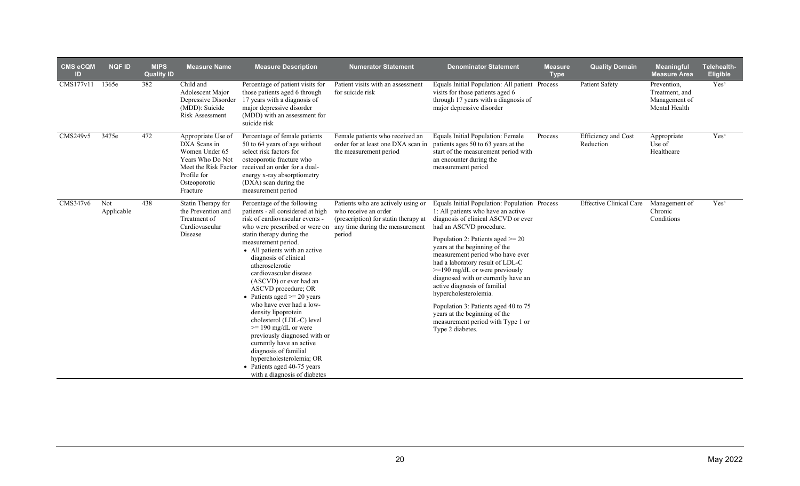| $CMS$ eCQM<br>ID | <b>NQF ID</b>     | <b>MIPS</b><br><b>Quality ID</b> | <b>Measure Name</b>                                                                                                                         | <b>Measure Description</b>                                                                                                                                                                                                                                                                                                                                                                                                                                                                                                                                                                                                                                                    | <b>Numerator Statement</b>                                                                                                                      | <b>Denominator Statement</b>                                                                                                                                                                                                                                                                                                                                                                                                                                                                                                                                                 | <b>Measure</b><br><b>Type</b> | <b>Quality Domain</b>            | <b>Meaningful</b><br><b>Measure Area</b>                        | Telehealth-<br>Eligible |
|------------------|-------------------|----------------------------------|---------------------------------------------------------------------------------------------------------------------------------------------|-------------------------------------------------------------------------------------------------------------------------------------------------------------------------------------------------------------------------------------------------------------------------------------------------------------------------------------------------------------------------------------------------------------------------------------------------------------------------------------------------------------------------------------------------------------------------------------------------------------------------------------------------------------------------------|-------------------------------------------------------------------------------------------------------------------------------------------------|------------------------------------------------------------------------------------------------------------------------------------------------------------------------------------------------------------------------------------------------------------------------------------------------------------------------------------------------------------------------------------------------------------------------------------------------------------------------------------------------------------------------------------------------------------------------------|-------------------------------|----------------------------------|-----------------------------------------------------------------|-------------------------|
| CMS177v11        | 1365e             | 382                              | Child and<br>Adolescent Major<br>Depressive Disorder<br>(MDD): Suicide<br><b>Risk Assessment</b>                                            | Percentage of patient visits for<br>those patients aged 6 through<br>17 years with a diagnosis of<br>major depressive disorder<br>(MDD) with an assessment for<br>suicide risk                                                                                                                                                                                                                                                                                                                                                                                                                                                                                                | Patient visits with an assessment<br>for suicide risk                                                                                           | Equals Initial Population: All patient Process<br>visits for those patients aged 6<br>through 17 years with a diagnosis of<br>major depressive disorder                                                                                                                                                                                                                                                                                                                                                                                                                      |                               | <b>Patient Safety</b>            | Prevention,<br>Treatment, and<br>Management of<br>Mental Health | Yes <sup>a</sup>        |
| CMS249v5         | 3475e             | 472                              | Appropriate Use of<br>DXA Scans in<br>Women Under 65<br>Years Who Do Not<br>Meet the Risk Factor<br>Profile for<br>Osteoporotic<br>Fracture | Percentage of female patients<br>50 to 64 years of age without<br>select risk factors for<br>osteoporotic fracture who<br>received an order for a dual-<br>energy x-ray absorptiometry<br>(DXA) scan during the<br>measurement period                                                                                                                                                                                                                                                                                                                                                                                                                                         | Female patients who received an<br>order for at least one DXA scan in<br>the measurement period                                                 | Equals Initial Population: Female<br>patients ages 50 to 63 years at the<br>start of the measurement period with<br>an encounter during the<br>measurement period                                                                                                                                                                                                                                                                                                                                                                                                            | Process                       | Efficiency and Cost<br>Reduction | Appropriate<br>Use of<br>Healthcare                             | Yes <sup>a</sup>        |
| CMS347v6         | Not<br>Applicable | 438                              | Statin Therapy for<br>the Prevention and<br>Treatment of<br>Cardiovascular<br>Disease                                                       | Percentage of the following<br>patients - all considered at high<br>risk of cardiovascular events -<br>who were prescribed or were on<br>statin therapy during the<br>measurement period.<br>• All patients with an active<br>diagnosis of clinical<br>atherosclerotic<br>cardiovascular disease<br>(ASCVD) or ever had an<br>ASCVD procedure; OR<br>• Patients aged $\ge$ 20 years<br>who have ever had a low-<br>density lipoprotein<br>cholesterol (LDL-C) level<br>$>= 190$ mg/dL or were<br>previously diagnosed with or<br>currently have an active<br>diagnosis of familial<br>hypercholesterolemia; OR<br>• Patients aged 40-75 years<br>with a diagnosis of diabetes | Patients who are actively using or<br>who receive an order<br>(prescription) for statin therapy at<br>any time during the measurement<br>period | Equals Initial Population: Population Process<br>1: All patients who have an active<br>diagnosis of clinical ASCVD or ever<br>had an ASCVD procedure.<br>Population 2: Patients aged $\ge$ 20<br>years at the beginning of the<br>measurement period who have ever<br>had a laboratory result of LDL-C<br>$>=190$ mg/dL or were previously<br>diagnosed with or currently have an<br>active diagnosis of familial<br>hypercholesterolemia.<br>Population 3: Patients aged 40 to 75<br>years at the beginning of the<br>measurement period with Type 1 or<br>Type 2 diabetes. |                               | <b>Effective Clinical Care</b>   | Management of<br>Chronic<br>Conditions                          | Yes <sup>a</sup>        |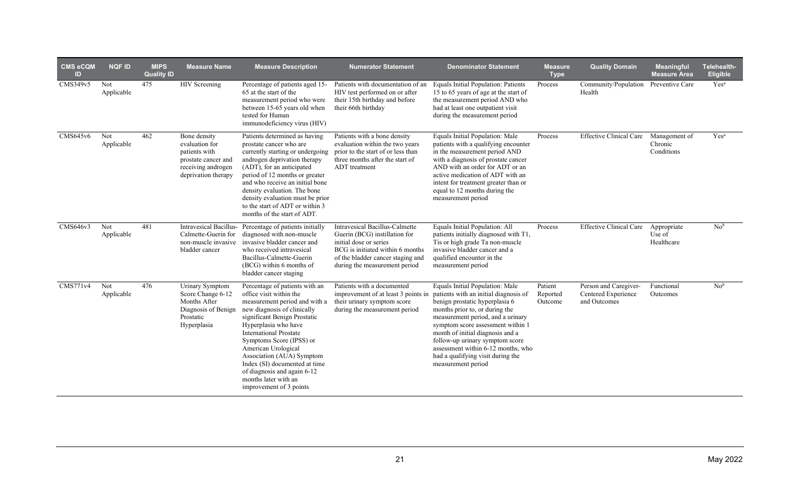| <b>CMS eCQM</b><br><b>ID</b> | <b>NQF ID</b>     | <b>MIPS</b><br><b>Quality ID</b> | <b>Measure Name</b>                                                                                                 | <b>Measure Description</b>                                                                                                                                                                                                                                                                                                                                                                                            | <b>Numerator Statement</b>                                                                                                                                                                                 | <b>Denominator Statement</b>                                                                                                                                                                                                                                                                                                                                                                                                       | <b>Measure</b><br><b>Type</b>  | <b>Quality Domain</b>                                        | <b>Meaningful</b><br><b>Measure Area</b> | Telehealth-<br><b>Eligible</b> |
|------------------------------|-------------------|----------------------------------|---------------------------------------------------------------------------------------------------------------------|-----------------------------------------------------------------------------------------------------------------------------------------------------------------------------------------------------------------------------------------------------------------------------------------------------------------------------------------------------------------------------------------------------------------------|------------------------------------------------------------------------------------------------------------------------------------------------------------------------------------------------------------|------------------------------------------------------------------------------------------------------------------------------------------------------------------------------------------------------------------------------------------------------------------------------------------------------------------------------------------------------------------------------------------------------------------------------------|--------------------------------|--------------------------------------------------------------|------------------------------------------|--------------------------------|
| CMS349v5                     | Not<br>Applicable | 475                              | <b>HIV</b> Screening                                                                                                | Percentage of patients aged 15-<br>65 at the start of the<br>measurement period who were<br>between 15-65 years old when<br>tested for Human<br>immunodeficiency virus (HIV)                                                                                                                                                                                                                                          | Patients with documentation of an<br>HIV test performed on or after<br>their 15th birthday and before<br>their 66th birthday                                                                               | Equals Initial Population: Patients<br>15 to 65 years of age at the start of<br>the measurement period AND who<br>had at least one outpatient visit<br>during the measurement period                                                                                                                                                                                                                                               | Process                        | Community/Population Preventive Care<br>Health               |                                          | Yes <sup>a</sup>               |
| CMS645v6                     | Not<br>Applicable | 462                              | Bone density<br>evaluation for<br>patients with<br>prostate cancer and<br>receiving androgen<br>deprivation therapy | Patients determined as having<br>prostate cancer who are<br>currently starting or undergoing<br>androgen deprivation therapy<br>(ADT), for an anticipated<br>period of 12 months or greater<br>and who receive an initial bone<br>density evaluation. The bone<br>density evaluation must be prior<br>to the start of ADT or within 3<br>months of the start of ADT.                                                  | Patients with a bone density<br>evaluation within the two years<br>prior to the start of or less than<br>three months after the start of<br><b>ADT</b> treatment                                           | Equals Initial Population: Male<br>patients with a qualifying encounter<br>in the measurement period AND<br>with a diagnosis of prostate cancer<br>AND with an order for ADT or an<br>active medication of ADT with an<br>intent for treatment greater than or<br>equal to 12 months during the<br>measurement period                                                                                                              | Process                        | <b>Effective Clinical Care</b>                               | Management of<br>Chronic<br>Conditions   | Yes <sup>a</sup>               |
| CMS646v3                     | Not<br>Applicable | 481                              | Intravesical Bacillus-<br>Calmette-Guerin for<br>non-muscle invasive<br>bladder cancer                              | Percentage of patients initially<br>diagnosed with non-muscle<br>invasive bladder cancer and<br>who received intravesical<br>Bacillus-Calmette-Guerin<br>(BCG) within 6 months of<br>bladder cancer staging                                                                                                                                                                                                           | <b>Intravesical Bacillus-Calmette</b><br>Guerin (BCG) instillation for<br>initial dose or series<br>BCG is initiated within 6 months<br>of the bladder cancer staging and<br>during the measurement period | Equals Initial Population: All<br>patients initially diagnosed with T1,<br>Tis or high grade Ta non-muscle<br>invasive bladder cancer and a<br>qualified encounter in the<br>measurement period                                                                                                                                                                                                                                    | Process                        | <b>Effective Clinical Care</b>                               | Appropriate<br>Use of<br>Healthcare      | No <sup>b</sup>                |
| CMS771v4                     | Not<br>Applicable | 476                              | Urinary Symptom<br>Score Change 6-12<br>Months After<br>Diagnosis of Benign<br>Prostatic<br>Hyperplasia             | Percentage of patients with an<br>office visit within the<br>measurement period and with a<br>new diagnosis of clinically<br>significant Benign Prostatic<br>Hyperplasia who have<br><b>International Prostate</b><br>Symptoms Score (IPSS) or<br>American Urological<br>Association (AUA) Symptom<br>Index (SI) documented at time<br>of diagnosis and again 6-12<br>months later with an<br>improvement of 3 points | Patients with a documented<br>their urinary symptom score<br>during the measurement period                                                                                                                 | Equals Initial Population: Male<br>improvement of at least 3 points in patients with an initial diagnosis of<br>benign prostatic hyperplasia 6<br>months prior to, or during the<br>measurement period, and a urinary<br>symptom score assessment within 1<br>month of initial diagnosis and a<br>follow-up urinary symptom score<br>assessment within 6-12 months, who<br>had a qualifying visit during the<br>measurement period | Patient<br>Reported<br>Outcome | Person and Caregiver-<br>Centered Experience<br>and Outcomes | Functional<br>Outcomes                   | No <sup>b</sup>                |